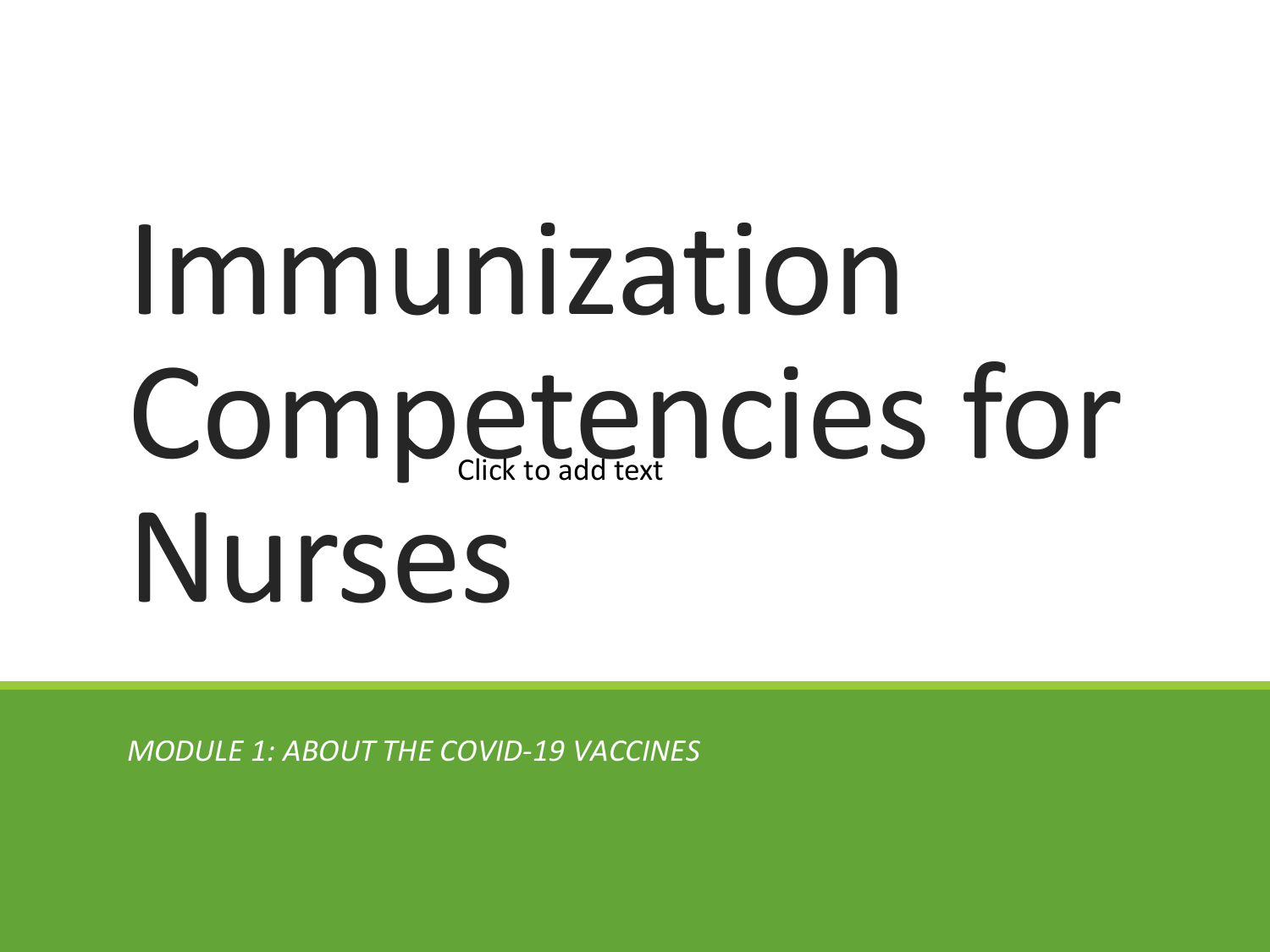# Immunization Competencies for Nurses

*MODULE 1: ABOUT THE COVID-19 VACCINES*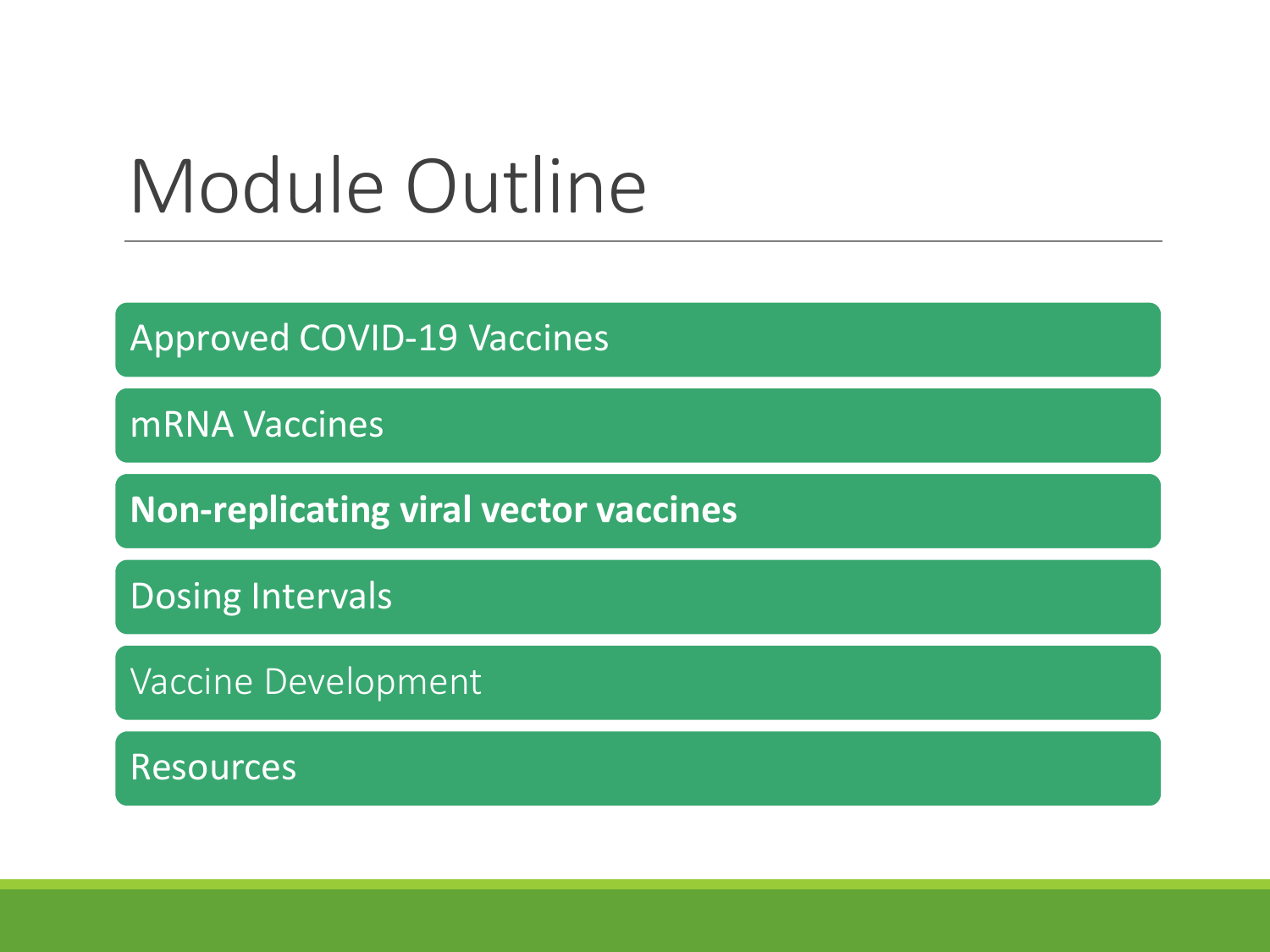### Module Outline

Approved COVID-19 Vaccines

mRNA Vaccines

**Non-replicating viral vector vaccines**

Dosing Intervals

Vaccine Development

Resources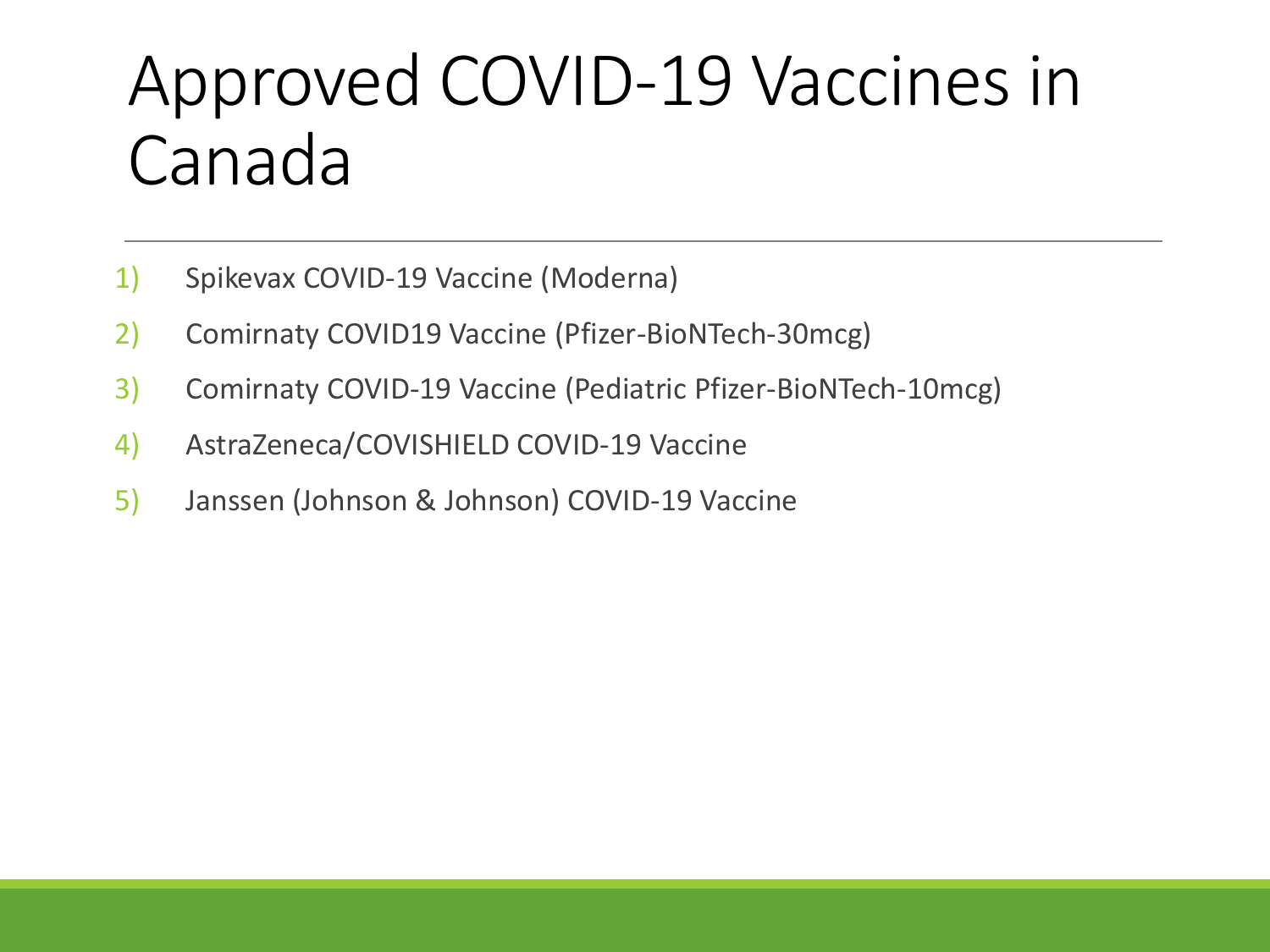### Approved COVID-19 Vaccines in Canada

- 1) Spikevax COVID-19 Vaccine (Moderna)
- 2) Comirnaty COVID19 Vaccine (Pfizer-BioNTech-30mcg)
- 3) Comirnaty COVID-19 Vaccine (Pediatric Pfizer-BioNTech-10mcg)
- 4) AstraZeneca/COVISHIELD COVID-19 Vaccine
- 5) Janssen (Johnson & Johnson) COVID-19 Vaccine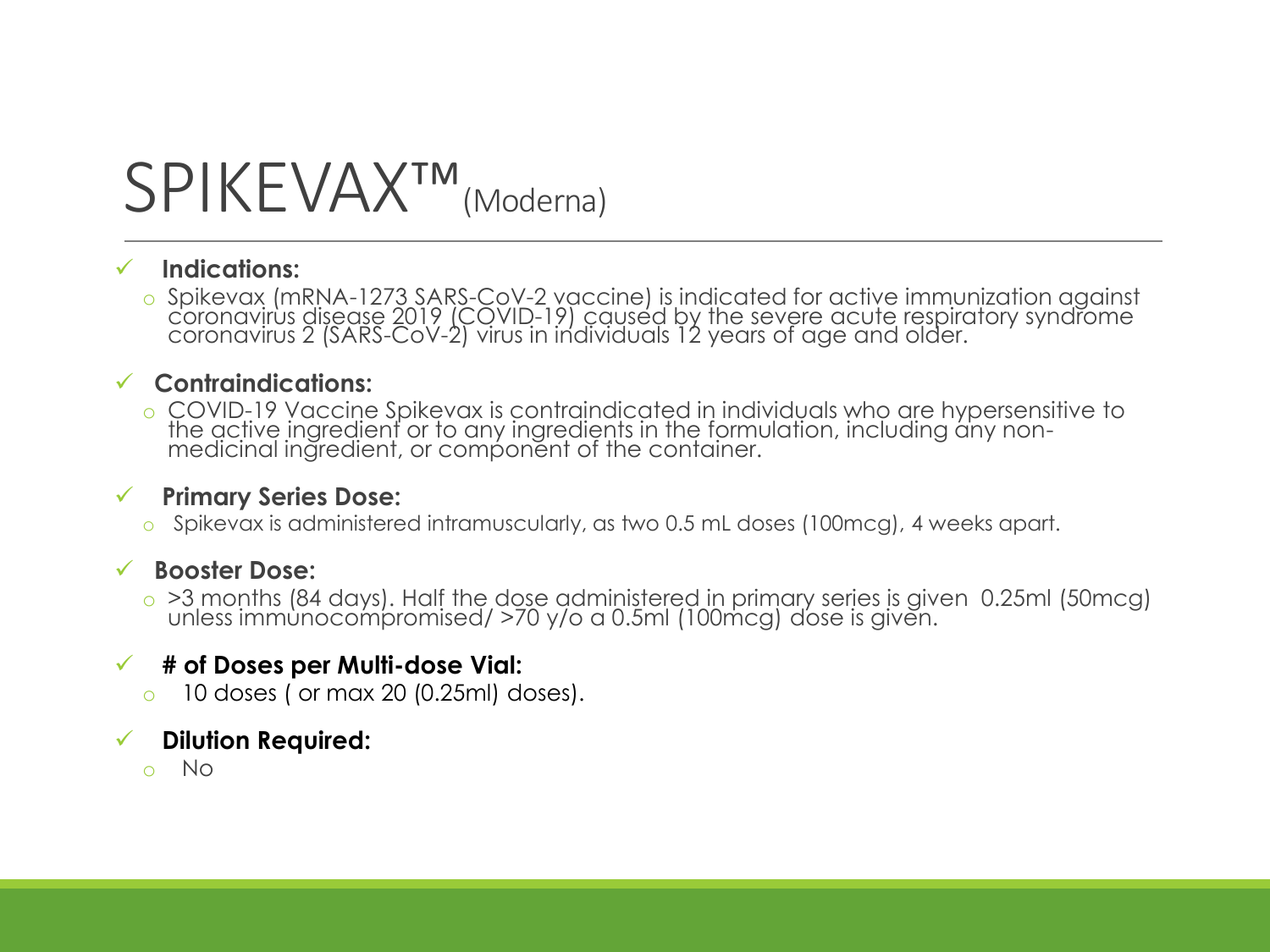### SPIKEVAX™ (Moderna)

#### ✓ **Indications:**

o Spikevax (mRNA-1273 SARS-CoV-2 vaccine) is indicated for active immunization against coronavirus disease 2019 (COVID-19) caused by the severe acute respiratory syndrome coronavirus 2 (SARS-CoV-2) virus in individuals 12 years of age and older.

#### ✓ **Contraindications:**

o COVID-19 Vaccine Spikevax is contraindicated in individuals who are hypersensitive to the active ingredient or to any ingredients in the formulation, including any nonmedicinal ingredient, or component of the container.

#### ✓ **Primary Series Dose:**

o Spikevax is administered intramuscularly, as two 0.5 mL doses (100mcg), 4 weeks apart.

#### ✓ **Booster Dose:**

o >3 months (84 days). Half the dose administered in primary series is given 0.25ml (50mcg) unless immunocompromised/ >70 y/o a 0.5ml (100mcg) dose is given.

#### ✓ **# of Doses per Multi-dose Vial:**

 $\circ$  10 doses ( or max 20 (0.25ml) doses).

#### ✓ **Dilution Required:**

o No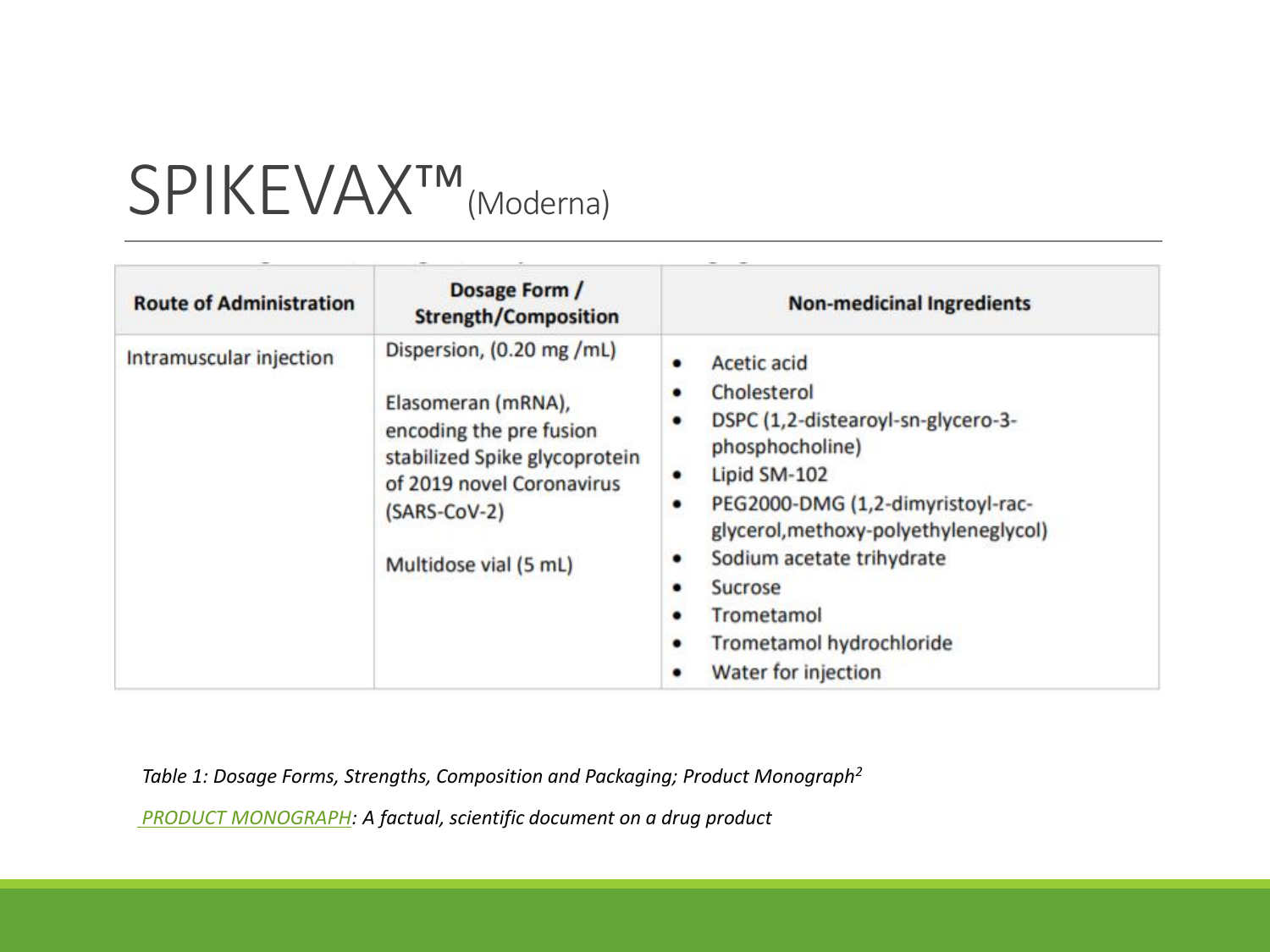### SPIKEVAX™ (Moderna)

| <b>Route of Administration</b> | Dosage Form /<br><b>Strength/Composition</b>                                                                                                                                      | <b>Non-medicinal Ingredients</b>                                                                                                                                                                                                                                                                                                        |  |
|--------------------------------|-----------------------------------------------------------------------------------------------------------------------------------------------------------------------------------|-----------------------------------------------------------------------------------------------------------------------------------------------------------------------------------------------------------------------------------------------------------------------------------------------------------------------------------------|--|
| Intramuscular injection        | Dispersion, (0.20 mg /mL)<br>Elasomeran (mRNA),<br>encoding the pre fusion<br>stabilized Spike glycoprotein<br>of 2019 novel Coronavirus<br>(SARS-CoV-2)<br>Multidose vial (5 mL) | Acetic acid<br>Cholesterol<br>٠<br>DSPC (1,2-distearoyl-sn-glycero-3-<br>٠<br>phosphocholine)<br>Lipid SM-102<br>٠<br>PEG2000-DMG (1,2-dimyristoyl-rac-<br>٠<br>glycerol, methoxy-polyethyleneglycol)<br>Sodium acetate trihydrate<br>٠<br>Sucrose<br>٠<br>Trometamol<br>٠<br>Trometamol hydrochloride<br>٠<br>Water for injection<br>٠ |  |

*Table 1: Dosage Forms, Strengths, Composition and Packaging; Product Monograph<sup>2</sup>*

*[PRODUCT MONOGRAPH](https://covid-vaccine.canada.ca/info/pdf/covid-19-vaccine-moderna-pm-en.pdf): A factual, scientific document on a drug product*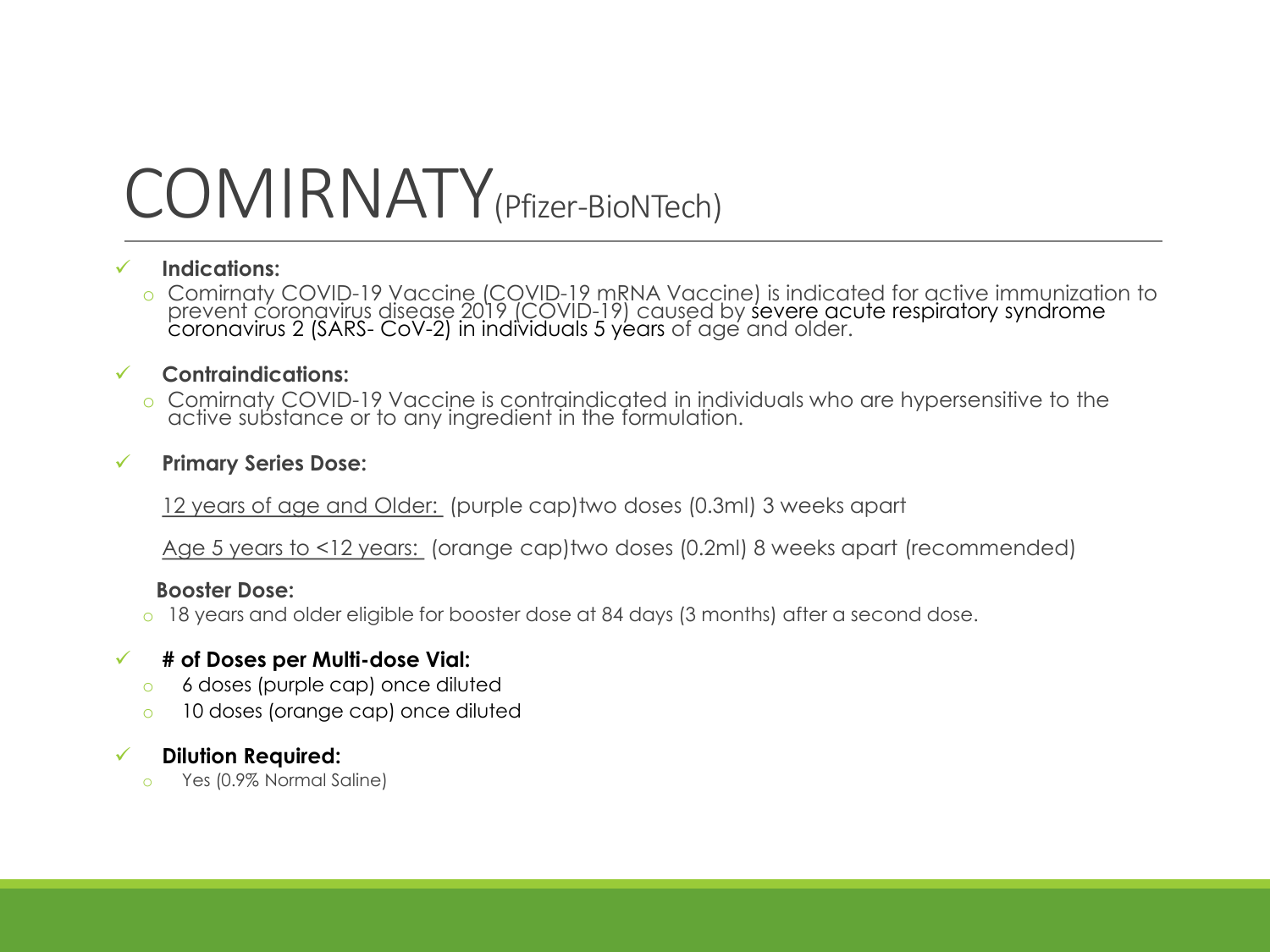### COMIRNATY(Pfizer-BioNTech)

#### ✓ **Indications:**

o Comirnaty COVID-19 Vaccine (COVID-19 mRNA Vaccine) is indicated for active immunization to prevent coronavirus disease 2019 (COVID-19) caused by severe acute respiratory syndrome coronavirus 2 (SARS- CoV-2) in individuals 5 years of age and older.

#### ✓ **Contraindications:**

o Comirnaty COVID-19 Vaccine is contraindicated in individuals who are hypersensitive to the active substance or to any ingredient in the formulation.

#### ✓ **Primary Series Dose:**

12 years of age and Older: (purple cap)two doses (0.3ml) 3 weeks apart

Age 5 years to <12 years: (orange cap)two doses (0.2ml) 8 weeks apart (recommended)

#### **Booster Dose:**

o 18 years and older eligible for booster dose at 84 days (3 months) after a second dose.

#### ✓ **# of Doses per Multi-dose Vial:**

- o 6 doses (purple cap) once diluted
- o 10 doses (orange cap) once diluted

#### ✓ **Dilution Required:**

o Yes (0.9% Normal Saline)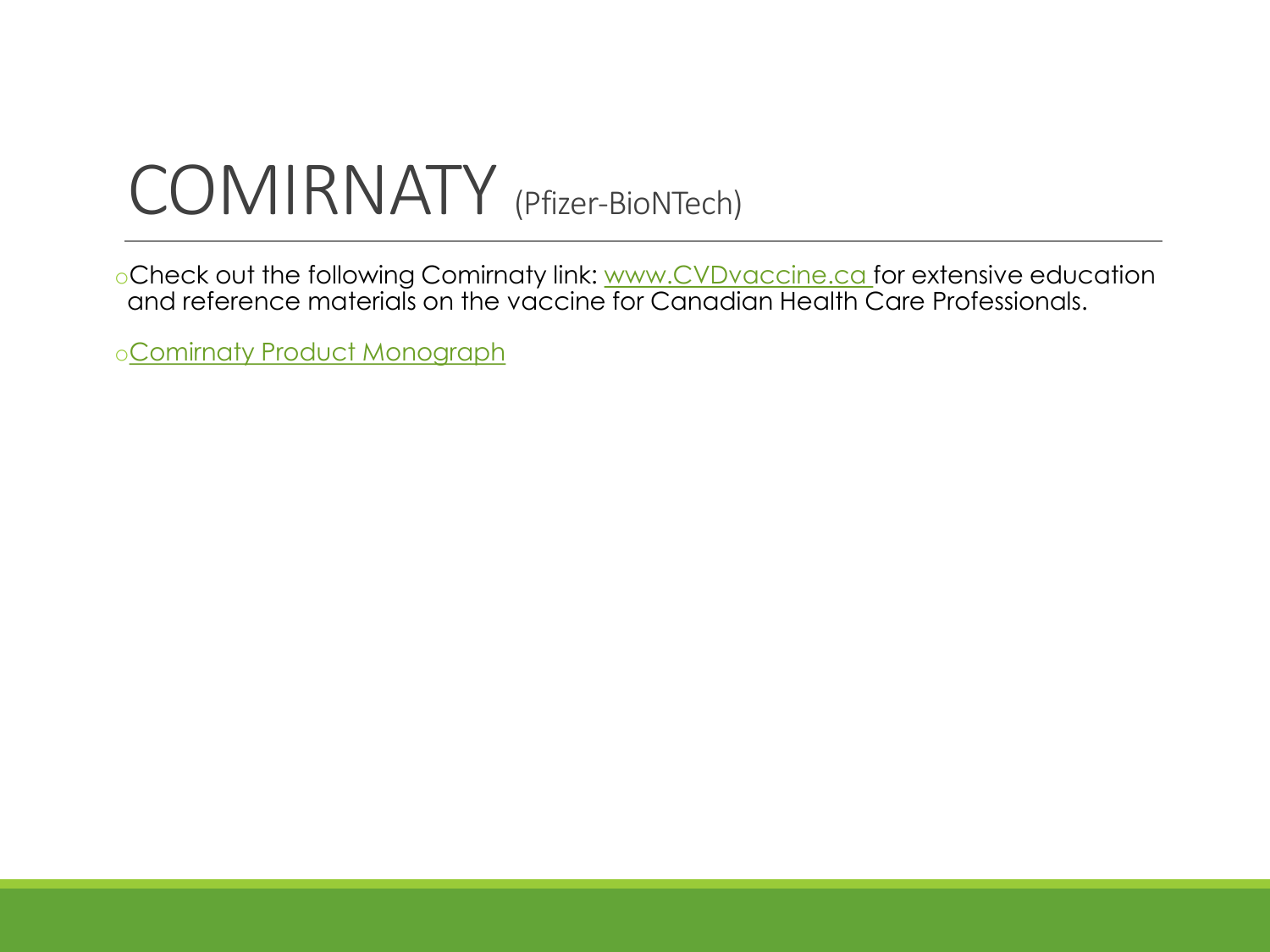### COMIRNATY (Pfizer-BioNTech)

oCheck out the following Comirnaty link: [www.CVDvaccine.ca](https://www.cvdvaccine.ca/) for extensive education and reference materials on the vaccine for Canadian Health Care Professionals.

o[Comirnaty Product Monograph](https://covid-vaccine.canada.ca/info/pdf/pfizer-biontech-covid-19-vaccine-pm1-en.pdf)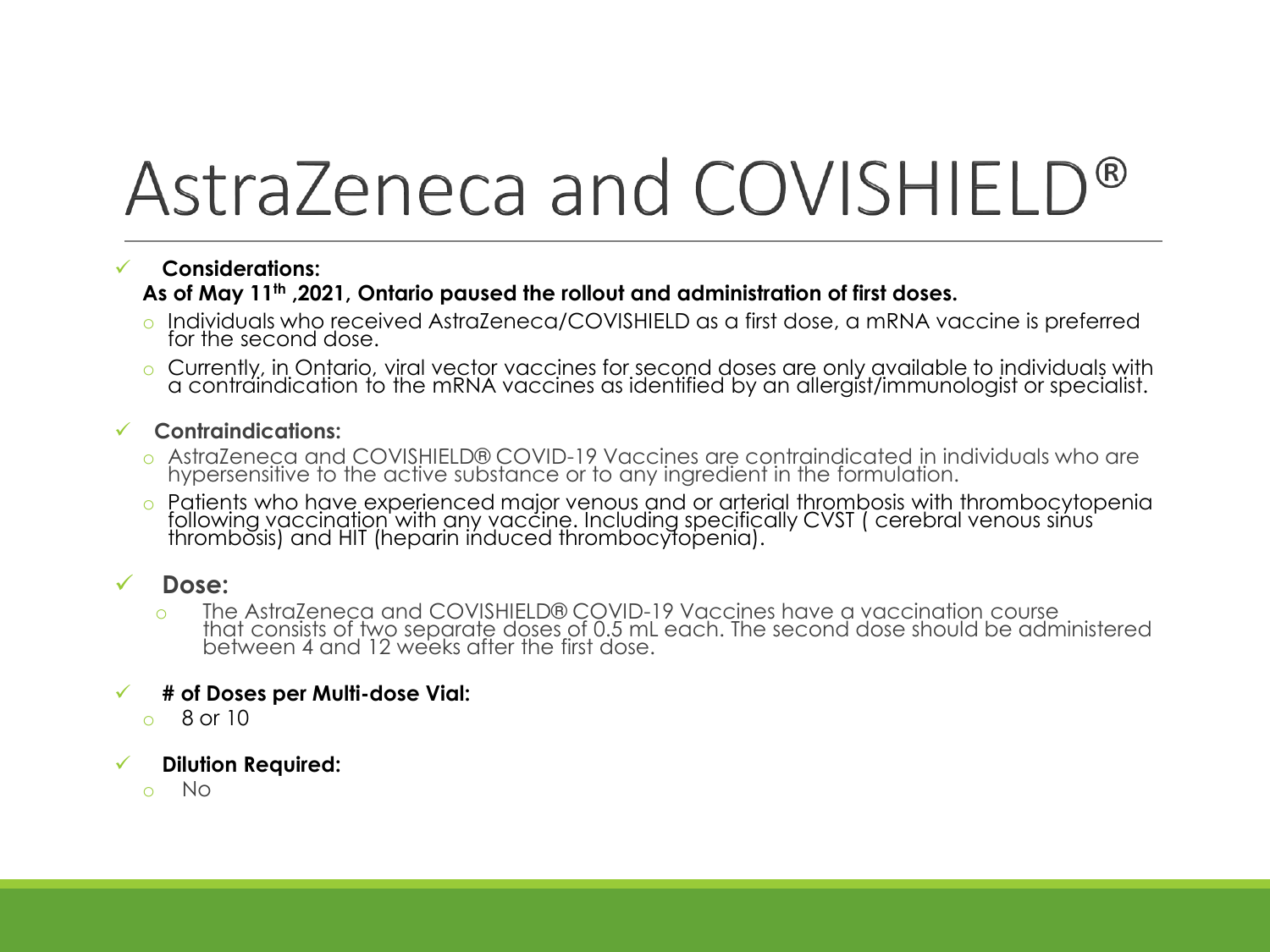# AstraZeneca and COVISHIELD®

#### ✓ **Considerations: As of May 11th ,2021, Ontario paused the rollout and administration of first doses.**

- o Individuals who received AstraZeneca/COVISHIELD as a first dose, a mRNA vaccine is preferred for the second dose.
- o Currently, in Ontario, viral vector vaccines for second doses are only available to individuals with a contraindication to the mRNA vaccines as identified by an allergist/immunologist or specialist.
- ✓ **Contraindications:**
	- o AstraZeneca and COVISHIELD® COVID-19 Vaccines are contraindicated in individuals who are hypersensitive to the active substance or to any ingredient in the formulation.
	- o Patients who have experienced major venous and or arterial thrombosis with thrombocytopenia following vaccination with any vaccine. Including specifically CVST ( cerebral venous sinus thrombosis) and HIT (heparin induced thrombocytopenia).

#### Dose:

o The AstraZeneca and COVISHIELD® COVID-19 Vaccines have a vaccination course that consists of two separate doses of 0.5 mL each. The second dose should be administered between 4 and 12 weeks after the first dose.

#### ✓ **# of Doses per Multi-dose Vial:**

 $\circ$  8 or 10

#### ✓ **Dilution Required:**

o No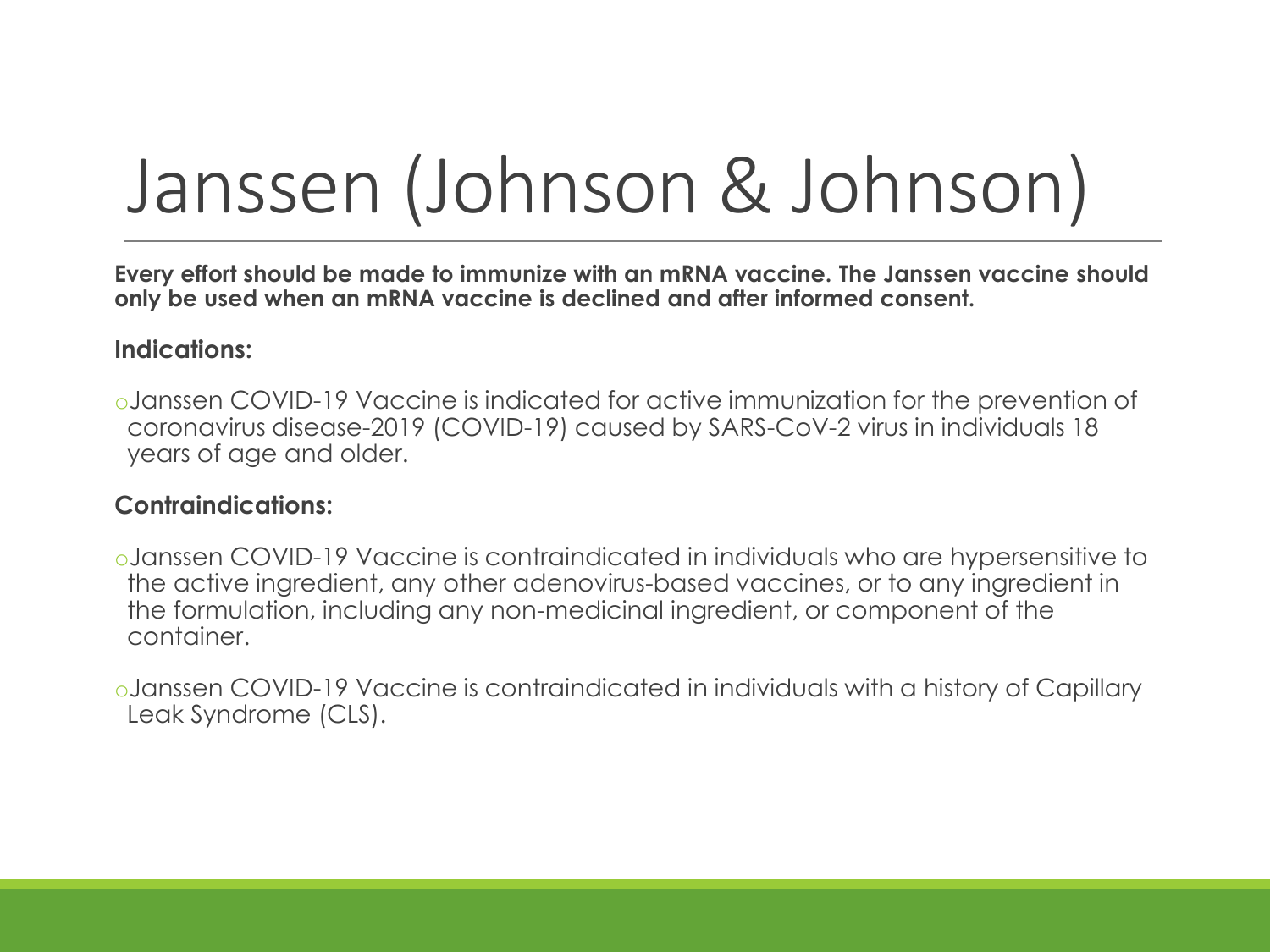# Janssen (Johnson & Johnson)

**Every effort should be made to immunize with an mRNA vaccine. The Janssen vaccine should only be used when an mRNA vaccine is declined and after informed consent.**

#### **Indications:**

oJanssen COVID-19 Vaccine is indicated for active immunization for the prevention of coronavirus disease-2019 (COVID-19) caused by SARS-CoV-2 virus in individuals 18 years of age and older.

#### **Contraindications:**

oJanssen COVID-19 Vaccine is contraindicated in individuals who are hypersensitive to the active ingredient, any other adenovirus-based vaccines, or to any ingredient in the formulation, including any non-medicinal ingredient, or component of the container.

oJanssen COVID-19 Vaccine is contraindicated in individuals with a history of Capillary Leak Syndrome (CLS).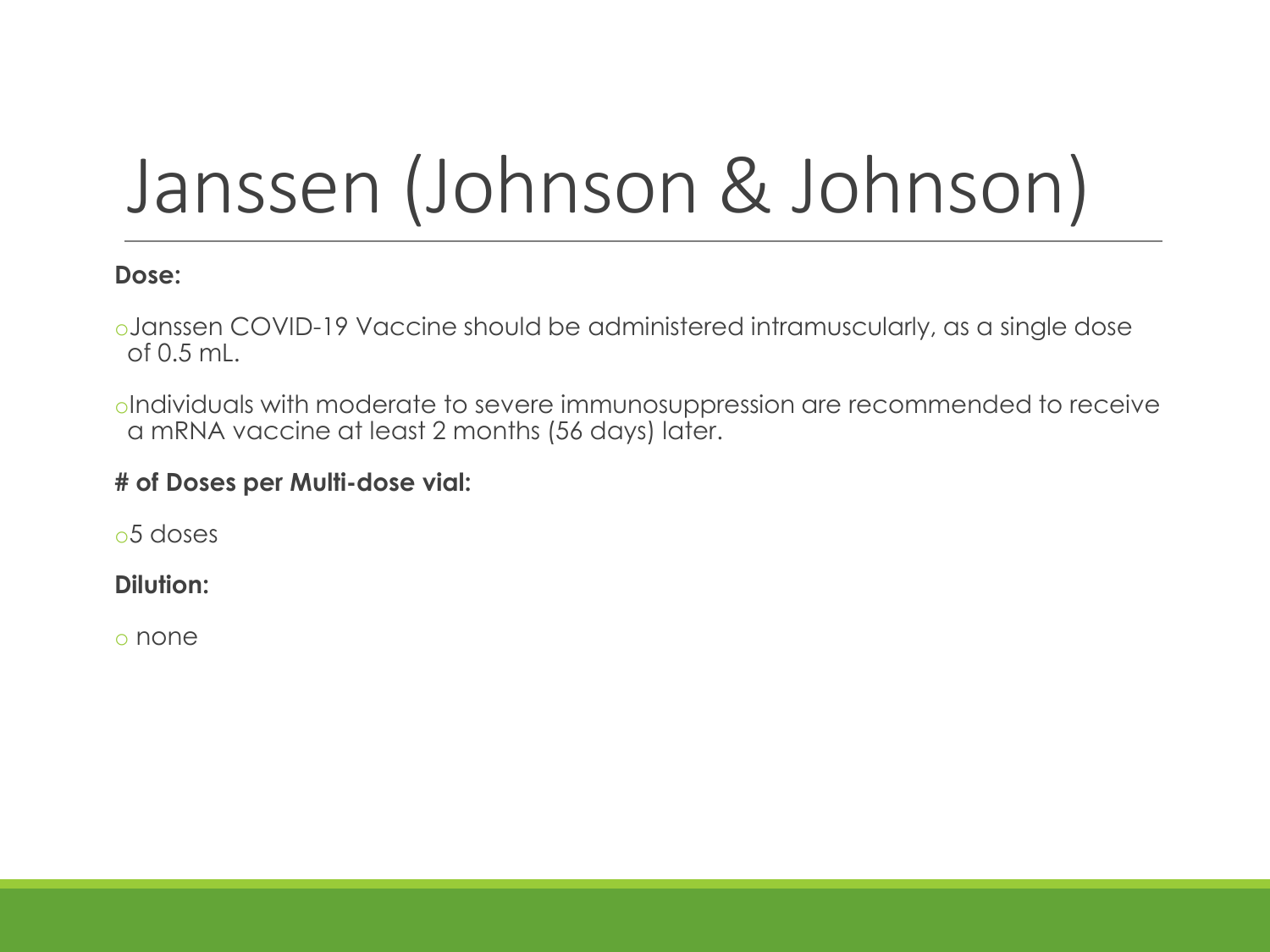# Janssen (Johnson & Johnson)

#### **Dose:**

oJanssen COVID-19 Vaccine should be administered intramuscularly, as a single dose of 0.5 mL.

oIndividuals with moderate to severe immunosuppression are recommended to receive a mRNA vaccine at least 2 months (56 days) later.

#### **# of Doses per Multi-dose vial:**

o5 doses

**Dilution:**

o none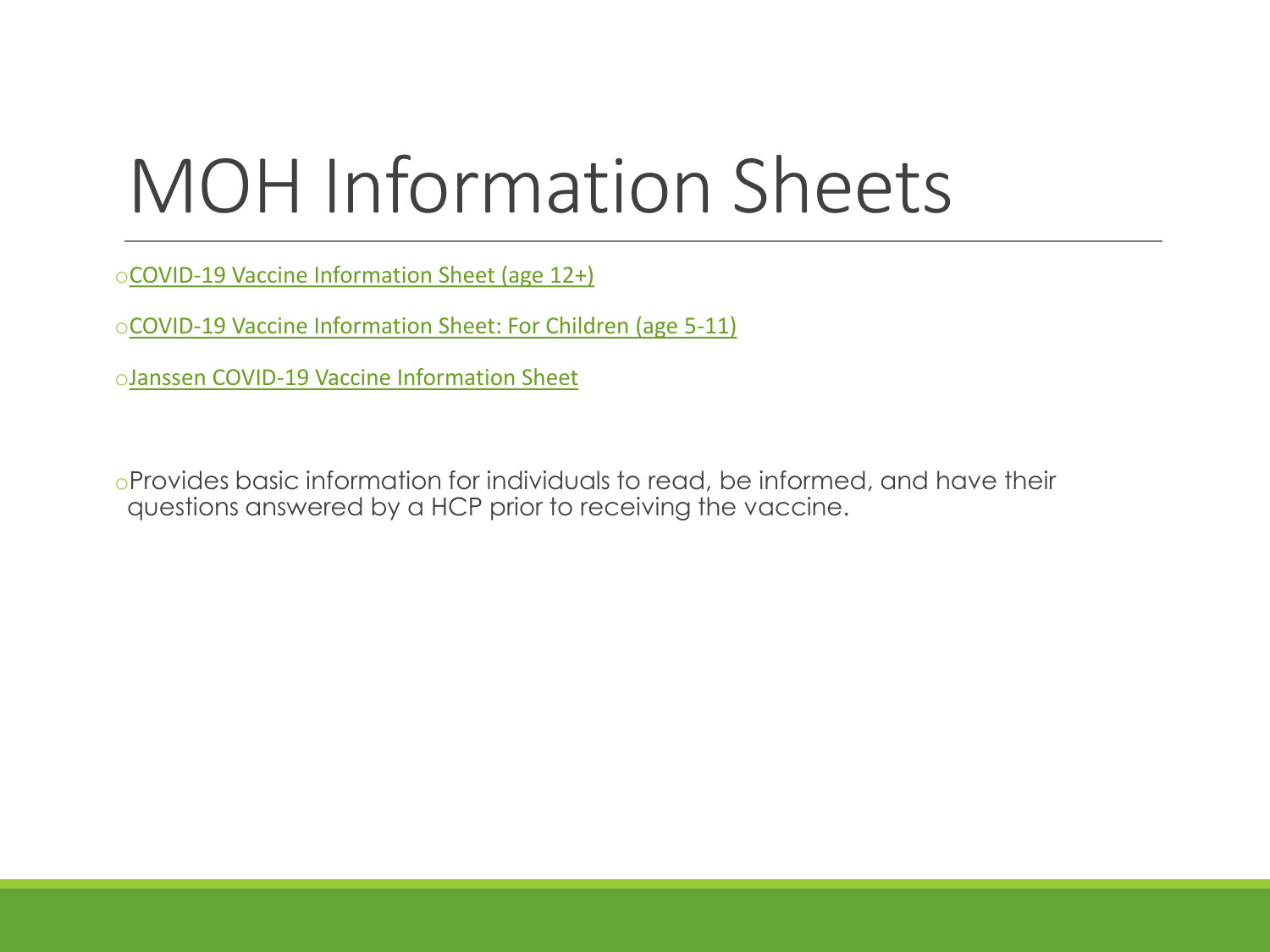# MOH Information Sheets

o[COVID-19 Vaccine Information Sheet \(age 12+\)](https://www.health.gov.on.ca/en/pro/programs/publichealth/coronavirus/docs/vaccine/COVID-19_vaccine_info_sheet.pdf)

o[COVID-19 Vaccine Information Sheet: For Children \(age 5-11\)](https://www.health.gov.on.ca/en/pro/programs/publichealth/coronavirus/docs/vaccine/COVID-19_vaccine_info_sheet_kids_5_11.pdf)

o[Janssen COVID-19 Vaccine Information Sheet](https://www.health.gov.on.ca/en/pro/programs/publichealth/coronavirus/docs/vaccine/COVID-19_Janssen_Vaccine.pdf) 

oProvides basic information for individuals to read, be informed, and have their questions answered by a HCP prior to receiving the vaccine.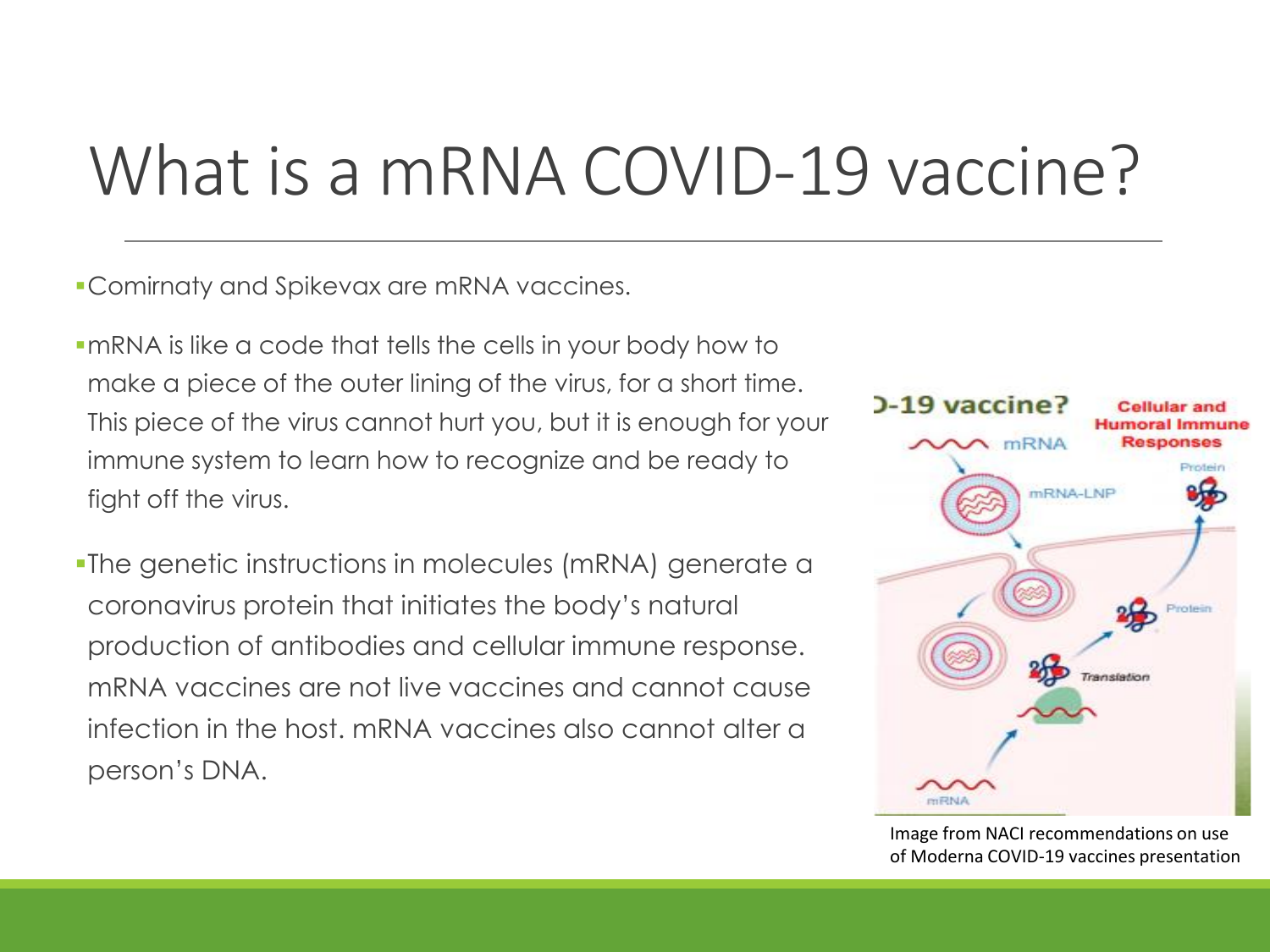### What is a mRNA COVID-19 vaccine?

**•Comirnaty and Spikevax are mRNA vaccines.** 

- ▪mRNA is like a code that tells the cells in your body how to make a piece of the outer lining of the virus, for a short time. This piece of the virus cannot hurt you, but it is enough for your immune system to learn how to recognize and be ready to fight off the virus.
- **-The genetic instructions in molecules (mRNA) generate a** coronavirus protein that initiates the body's natural production of antibodies and cellular immune response. mRNA vaccines are not live vaccines and cannot cause infection in the host. mRNA vaccines also cannot alter a person's DNA.



Image from NACI recommendations on use of Moderna COVID-19 vaccines presentation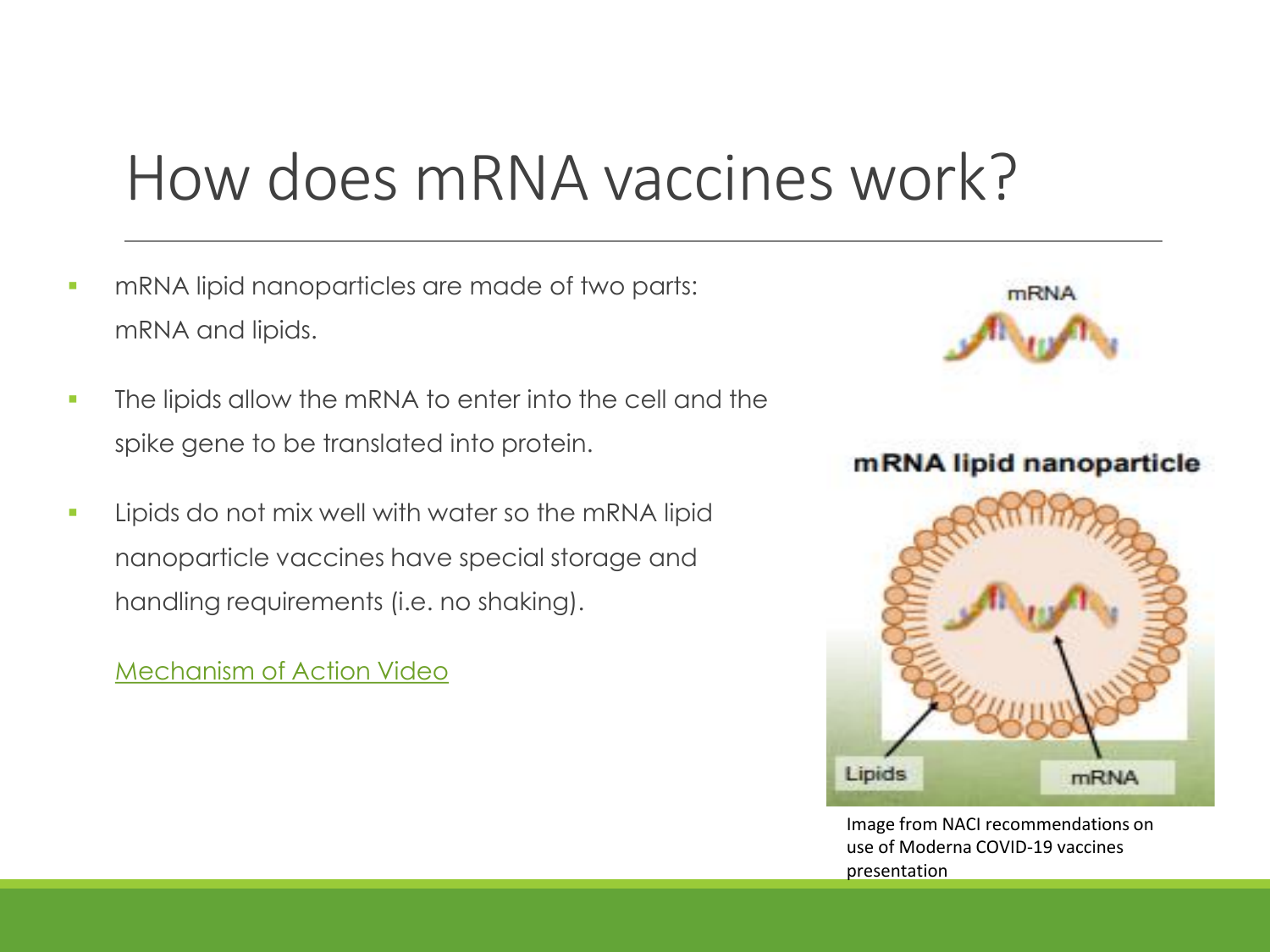### How does mRNA vaccines work?

- **mRNA lipid nanoparticles are made of two parts:** mRNA and lipids.
- The lipids allow the mRNA to enter into the cell and the spike gene to be translated into protein.
- Lipids do not mix well with water so the mRNA lipid nanoparticle vaccines have special storage and handling requirements (i.e. no shaking).

[Mechanism of Action Video](https://www.cvdvaccine.ca/resources)



mRNA lipid nanoparticle



Image from NACI recommendations on use of Moderna COVID-19 vaccines presentation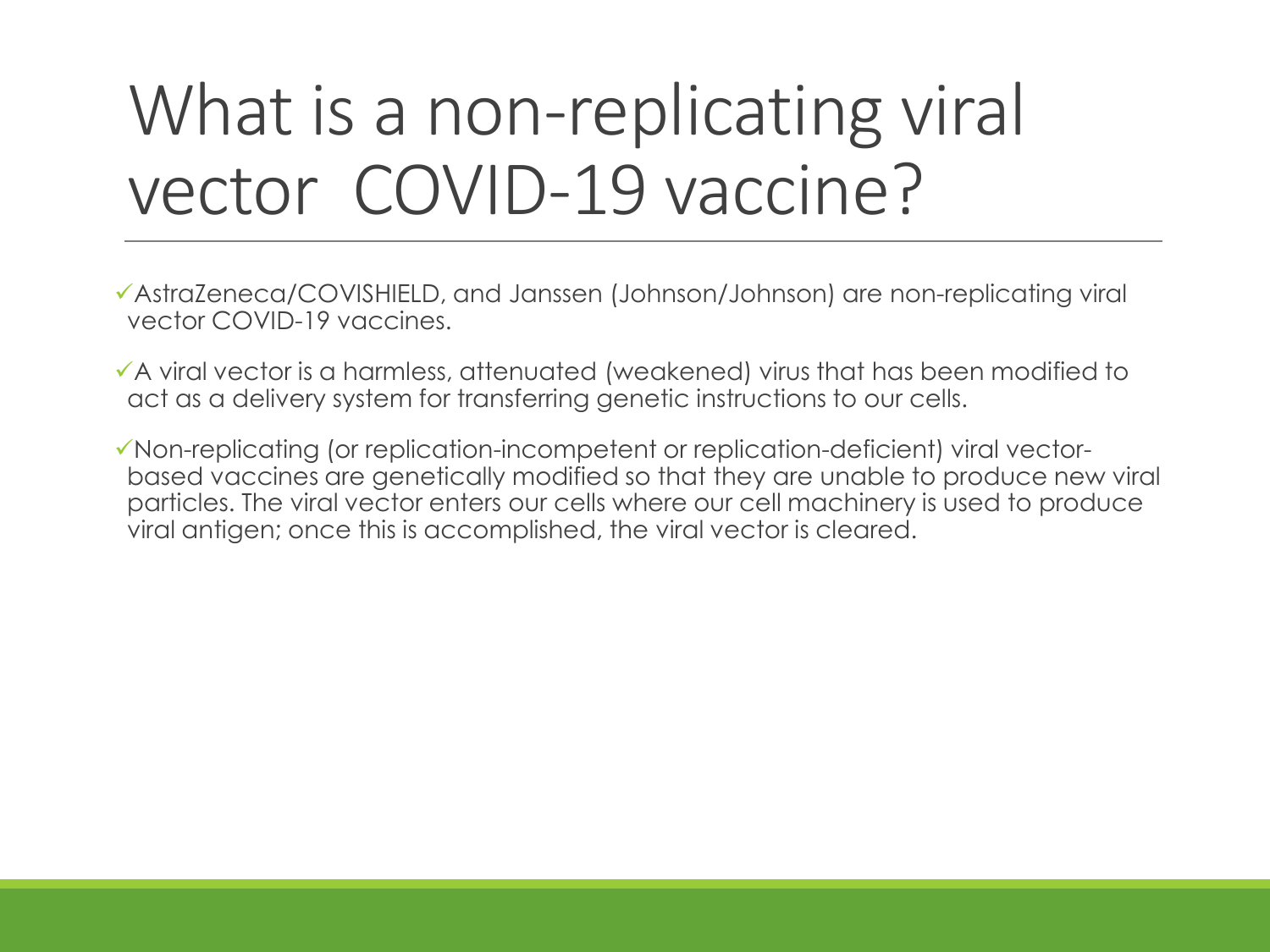### What is a non-replicating viral vector COVID-19 vaccine?

- ✓AstraZeneca/COVISHIELD, and Janssen (Johnson/Johnson) are non-replicating viral vector COVID-19 vaccines.
- ✓A viral vector is a harmless, attenuated (weakened) virus that has been modified to act as a delivery system for transferring genetic instructions to our cells.
- ✓Non-replicating (or replication-incompetent or replication-deficient) viral vectorbased vaccines are genetically modified so that they are unable to produce new viral particles. The viral vector enters our cells where our cell machinery is used to produce viral antigen; once this is accomplished, the viral vector is cleared.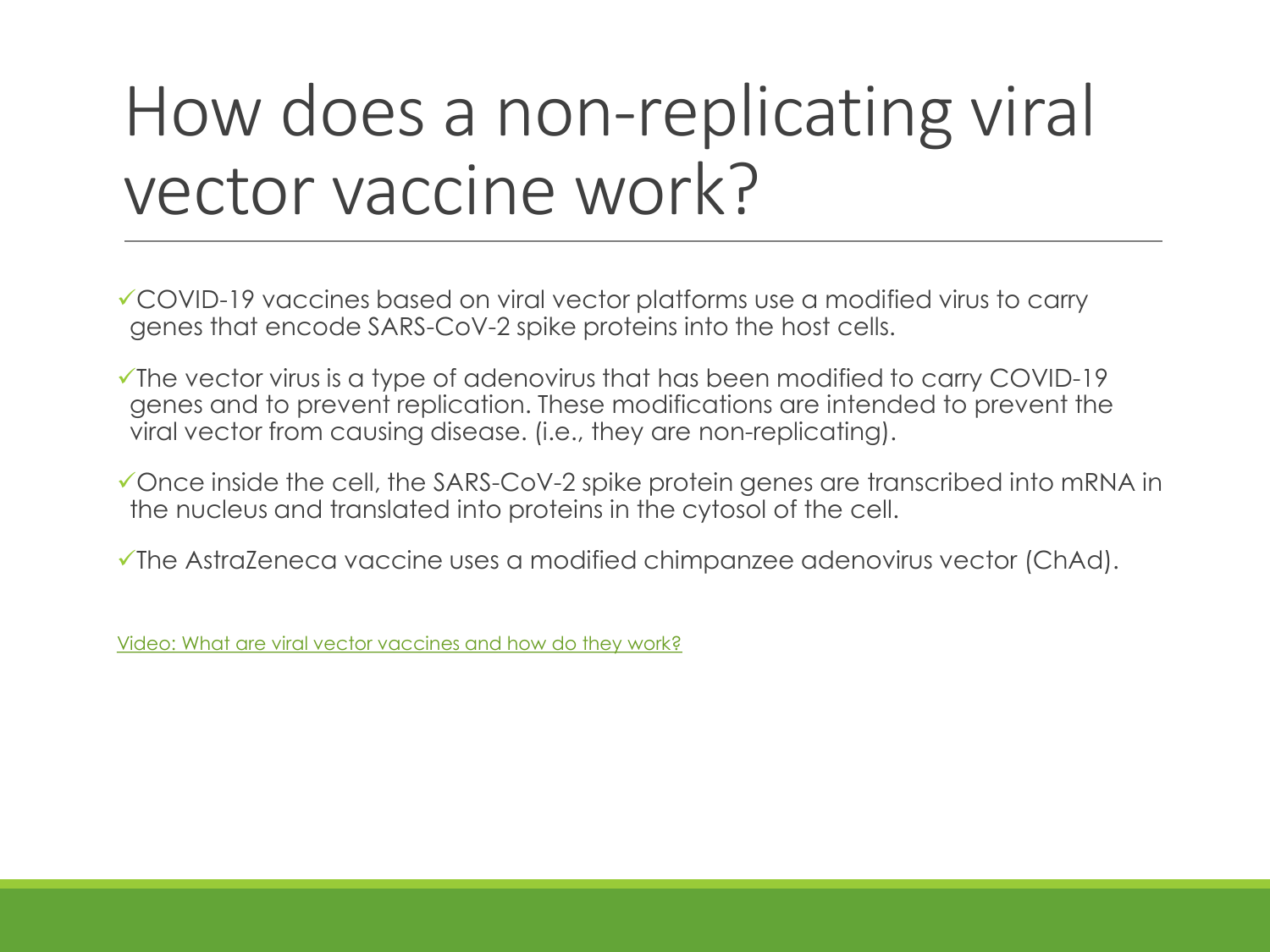### How does a non-replicating viral vector vaccine work?

✓COVID-19 vaccines based on viral vector platforms use a modified virus to carry genes that encode SARS-CoV-2 spike proteins into the host cells.

✓The vector virus is a type of adenovirus that has been modified to carry COVID-19 genes and to prevent replication. These modifications are intended to prevent the viral vector from causing disease. (i.e., they are non-replicating).

✓Once inside the cell, the SARS-CoV-2 spike protein genes are transcribed into mRNA in the nucleus and translated into proteins in the cytosol of the cell.

✓The AstraZeneca vaccine uses a modified chimpanzee adenovirus vector (ChAd).

[Video: What are viral vector vaccines and how do they work?](https://www.youtube.com/watch?v=wnVLXLHYVes)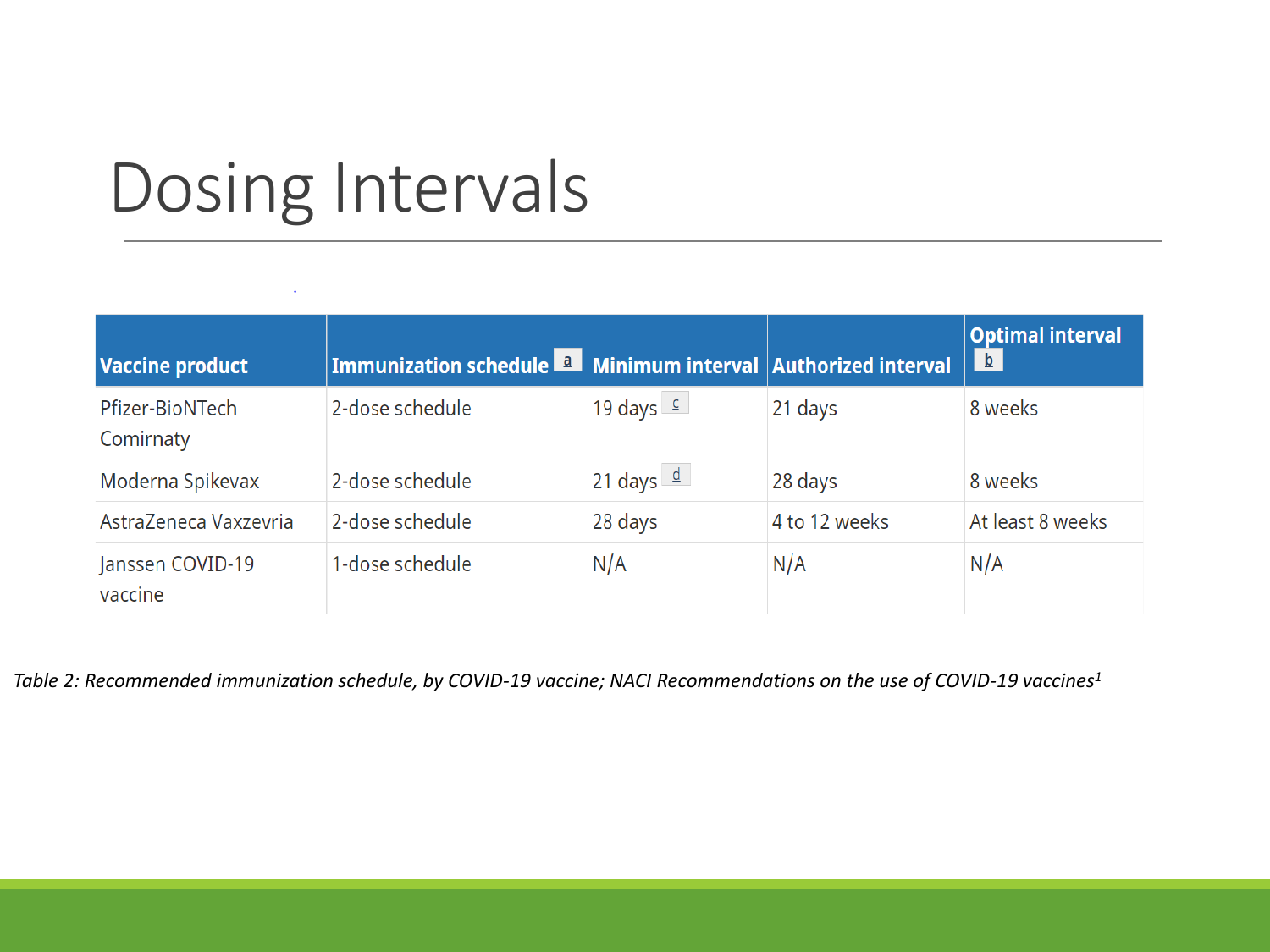### Dosing Intervals

| <b>Vaccine product</b>       | Immunization schedule <b>La Minimum interval Authorized interval</b> |                        |               | <b>Optimal interval</b><br>$\mathbf{b}$ |
|------------------------------|----------------------------------------------------------------------|------------------------|---------------|-----------------------------------------|
| Pfizer-BioNTech<br>Comirnaty | 2-dose schedule                                                      | 19 days $\epsilon$     | 21 days       | 8 weeks                                 |
| Moderna Spikevax             | 2-dose schedule                                                      | 21 days $\frac{d}{dx}$ | 28 days       | 8 weeks                                 |
| AstraZeneca Vaxzevria        | 2-dose schedule                                                      | 28 days                | 4 to 12 weeks | At least 8 weeks                        |
| Janssen COVID-19<br>vaccine  | 1-dose schedule                                                      | N/A                    | N/A           | N/A                                     |

*Table 2: Recommended immunization schedule, by COVID-19 vaccine; NACI Recommendations on the use of COVID-19 vaccines<sup>1</sup>*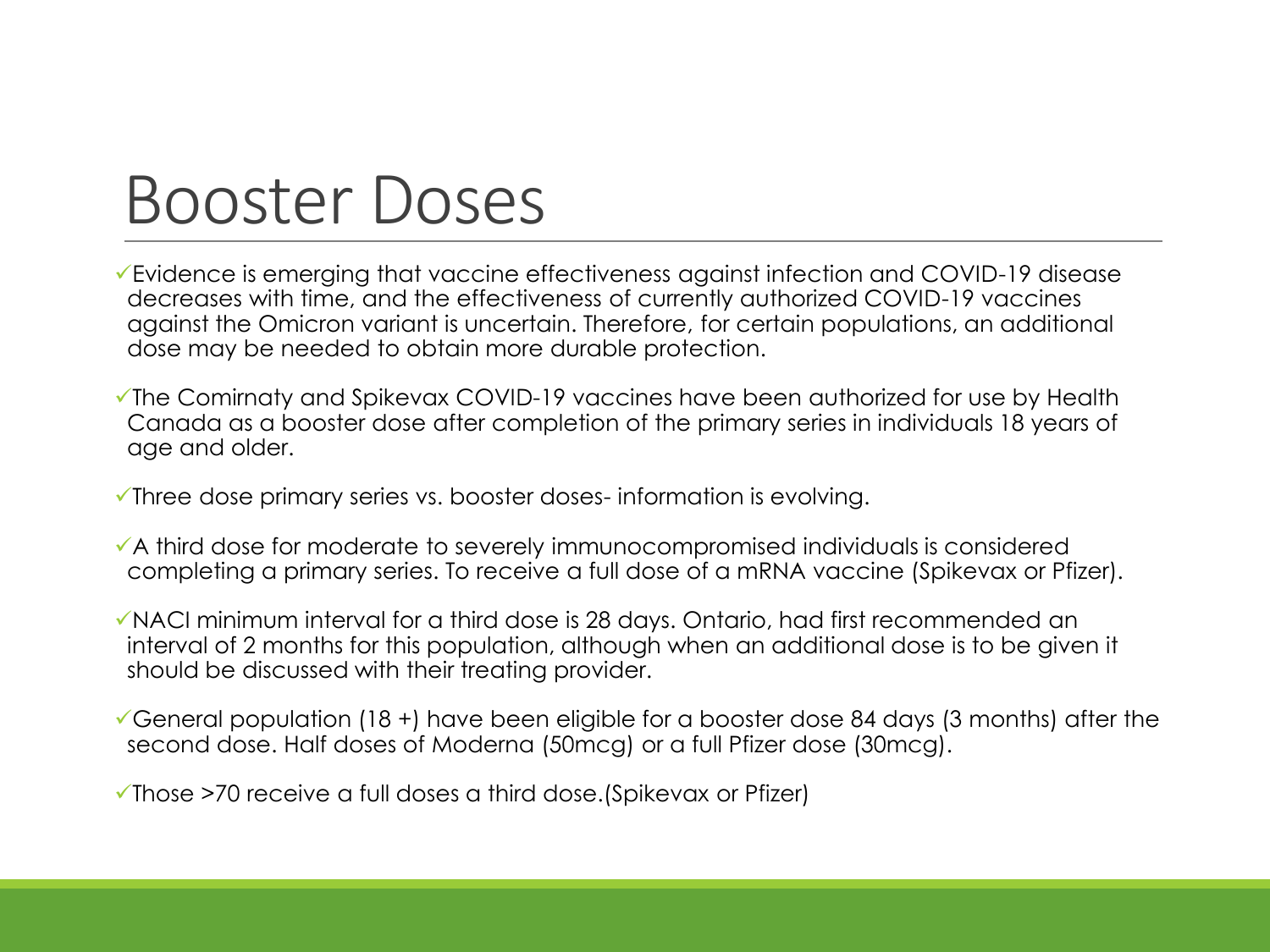### Booster Doses

- ✓Evidence is emerging that vaccine effectiveness against infection and COVID-19 disease decreases with time, and the effectiveness of currently authorized COVID-19 vaccines against the Omicron variant is uncertain. Therefore, for certain populations, an additional dose may be needed to obtain more durable protection.
- ✓The Comirnaty and Spikevax COVID-19 vaccines have been authorized for use by Health Canada as a booster dose after completion of the primary series in individuals 18 years of age and older.
- ✓Three dose primary series vs. booster doses- information is evolving.
- ✓A third dose for moderate to severely immunocompromised individuals is considered completing a primary series. To receive a full dose of a mRNA vaccine (Spikevax or Pfizer).
- ✓NACI minimum interval for a third dose is 28 days. Ontario, had first recommended an interval of 2 months for this population, although when an additional dose is to be given it should be discussed with their treating provider.
- $\checkmark$ General population (18 +) have been eligible for a booster dose 84 days (3 months) after the second dose. Half doses of Moderna (50mcg) or a full Pfizer dose (30mcg).

✓Those >70 receive a full doses a third dose.(Spikevax or Pfizer)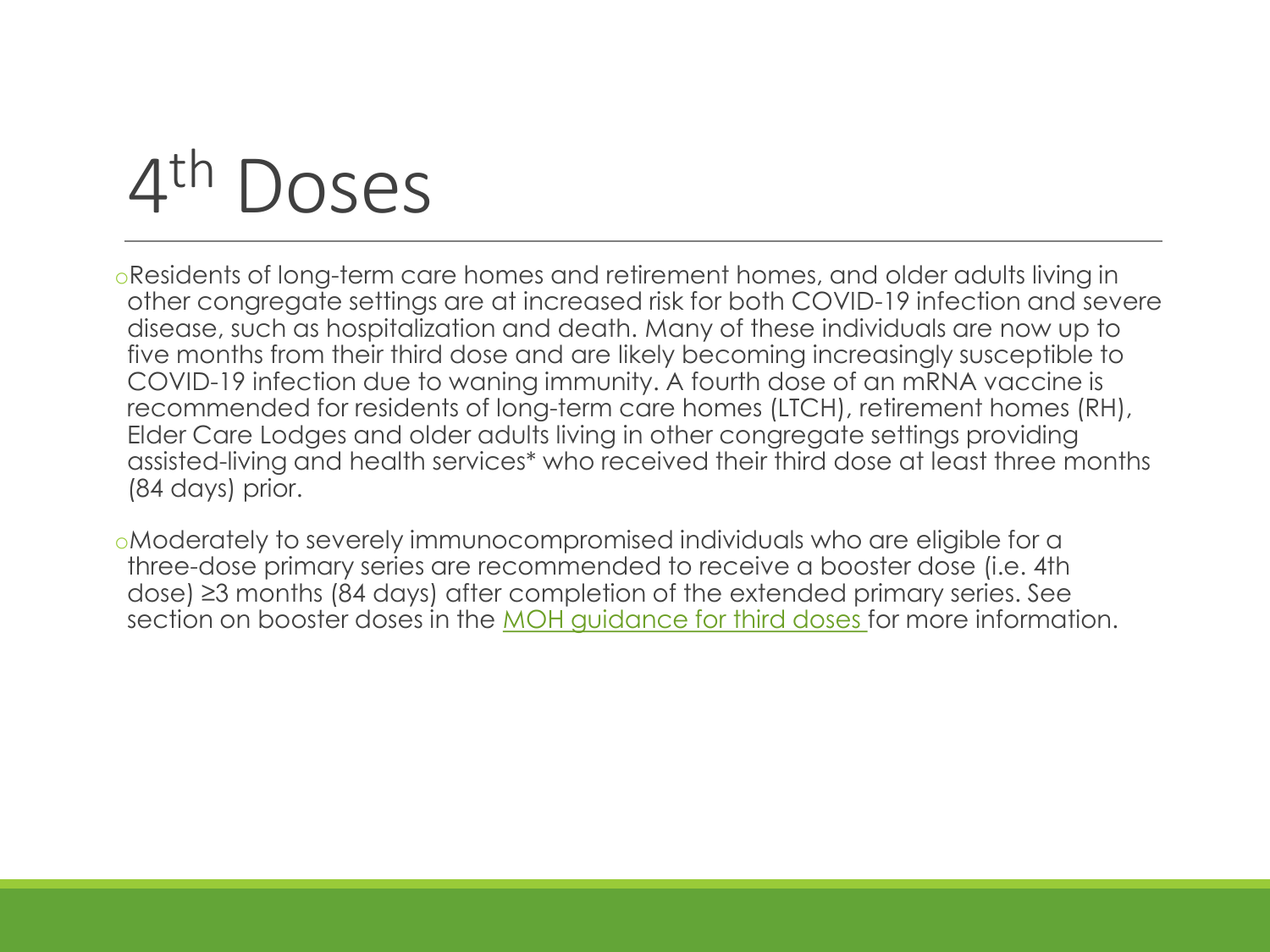#### 4 Doses

oResidents of long-term care homes and retirement homes, and older adults living in other congregate settings are at increased risk for both COVID-19 infection and severe disease, such as hospitalization and death. Many of these individuals are now up to five months from their third dose and are likely becoming increasingly susceptible to COVID-19 infection due to waning immunity. A fourth dose of an mRNA vaccine is recommended for residents of long-term care homes (LTCH), retirement homes (RH), Elder Care Lodges and older adults living in other congregate settings providing assisted-living and health services\* who received their third dose at least three months (84 days) prior.

oModerately to severely immunocompromised individuals who are eligible for a three-dose primary series are recommended to receive a booster dose (i.e. 4th dose) ≥3 months (84 days) after completion of the extended primary series. See section on booster doses in the [MOH guidance for third doses f](https://www.health.gov.on.ca/en/pro/programs/publichealth/coronavirus/docs/vaccine/COVID-19_vaccine_third_dose_recommendations.pdf)or more information.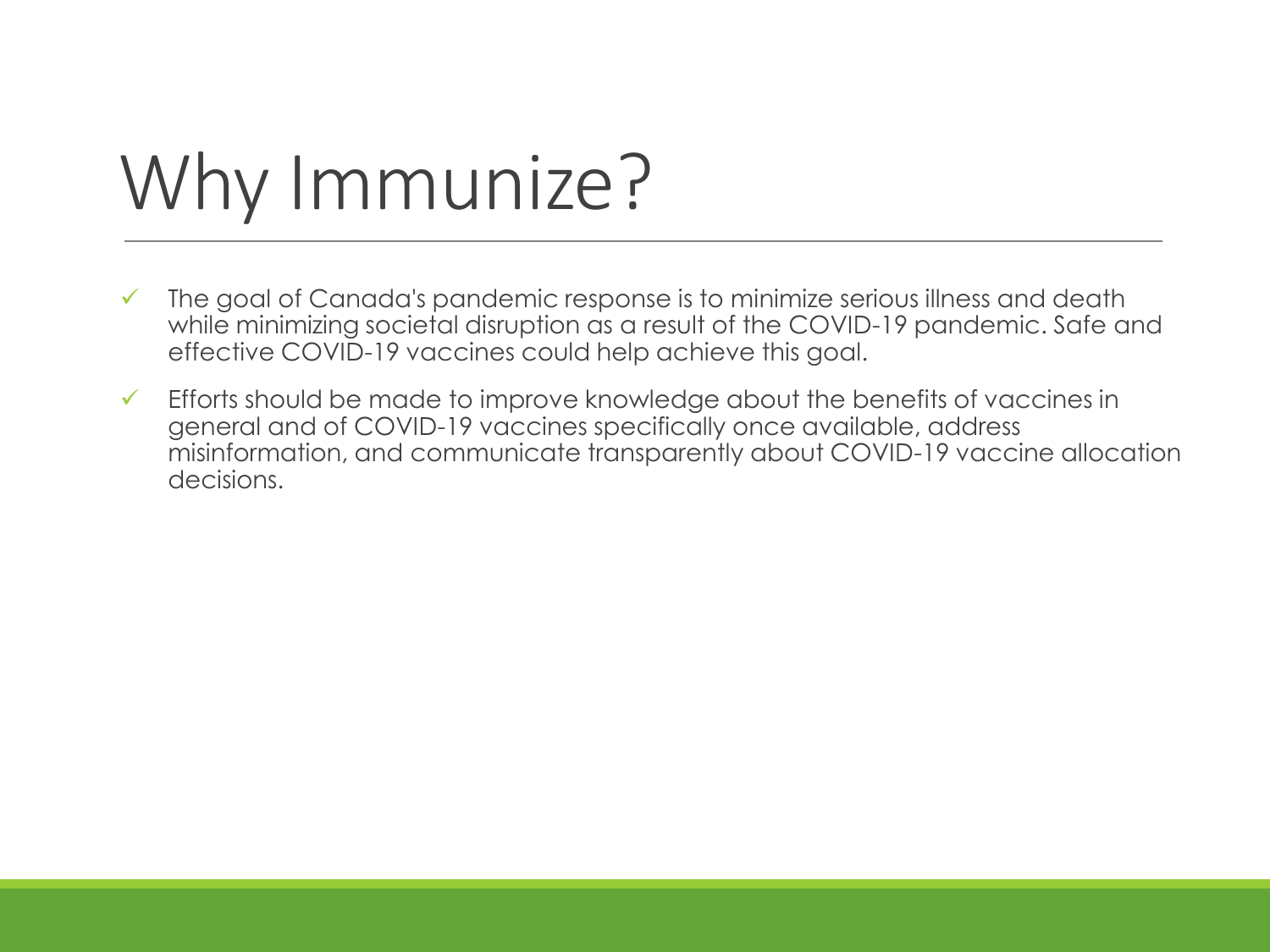# Why Immunize?

- ✓ The goal of Canada's pandemic response is to minimize serious illness and death while minimizing societal disruption as a result of the COVID-19 pandemic. Safe and effective COVID-19 vaccines could help achieve this goal.
- $\checkmark$  Efforts should be made to improve knowledge about the benefits of vaccines in general and of COVID-19 vaccines specifically once available, address misinformation, and communicate transparently about COVID-19 vaccine allocation decisions.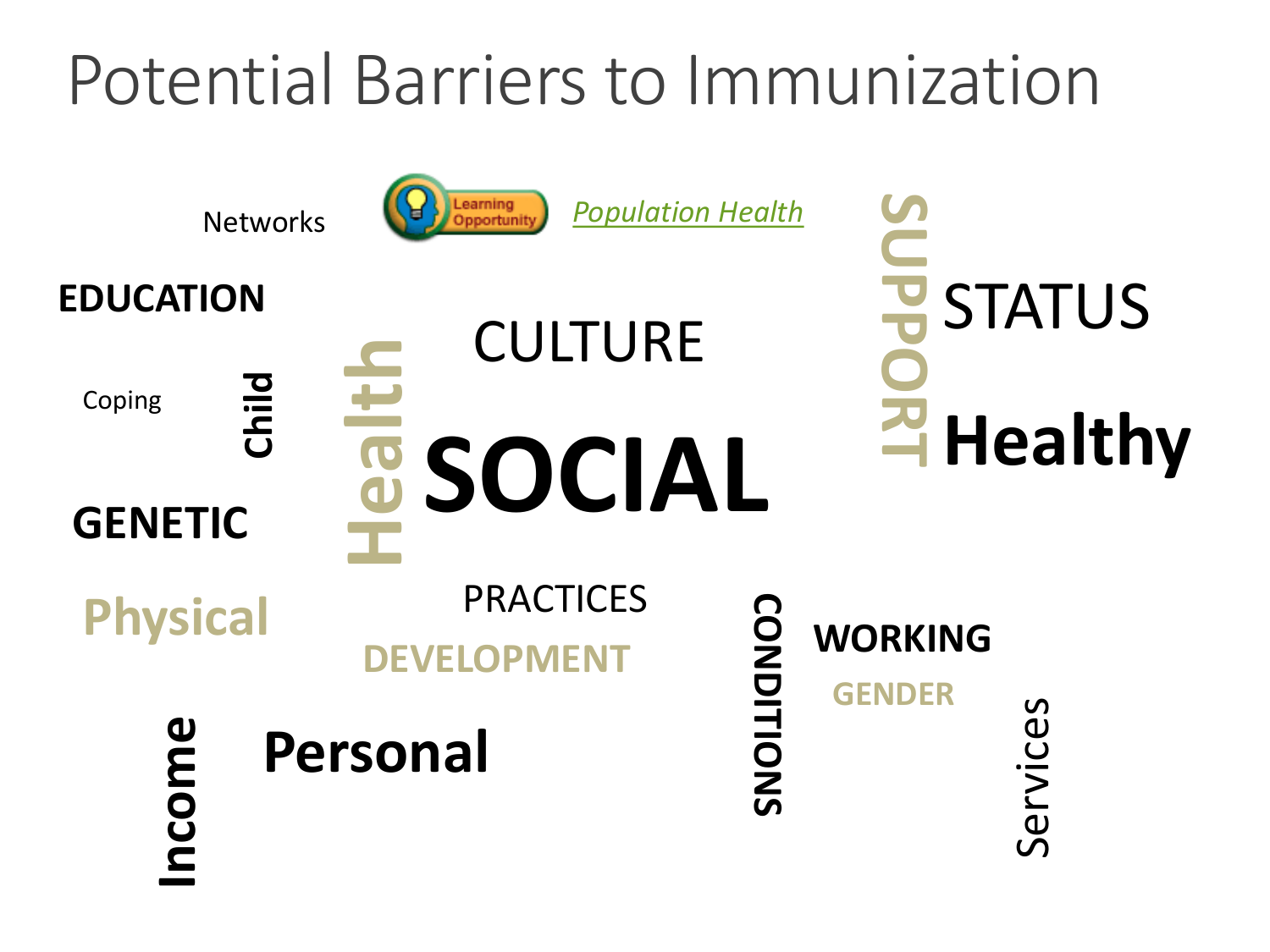### Potential Barriers to Immunization

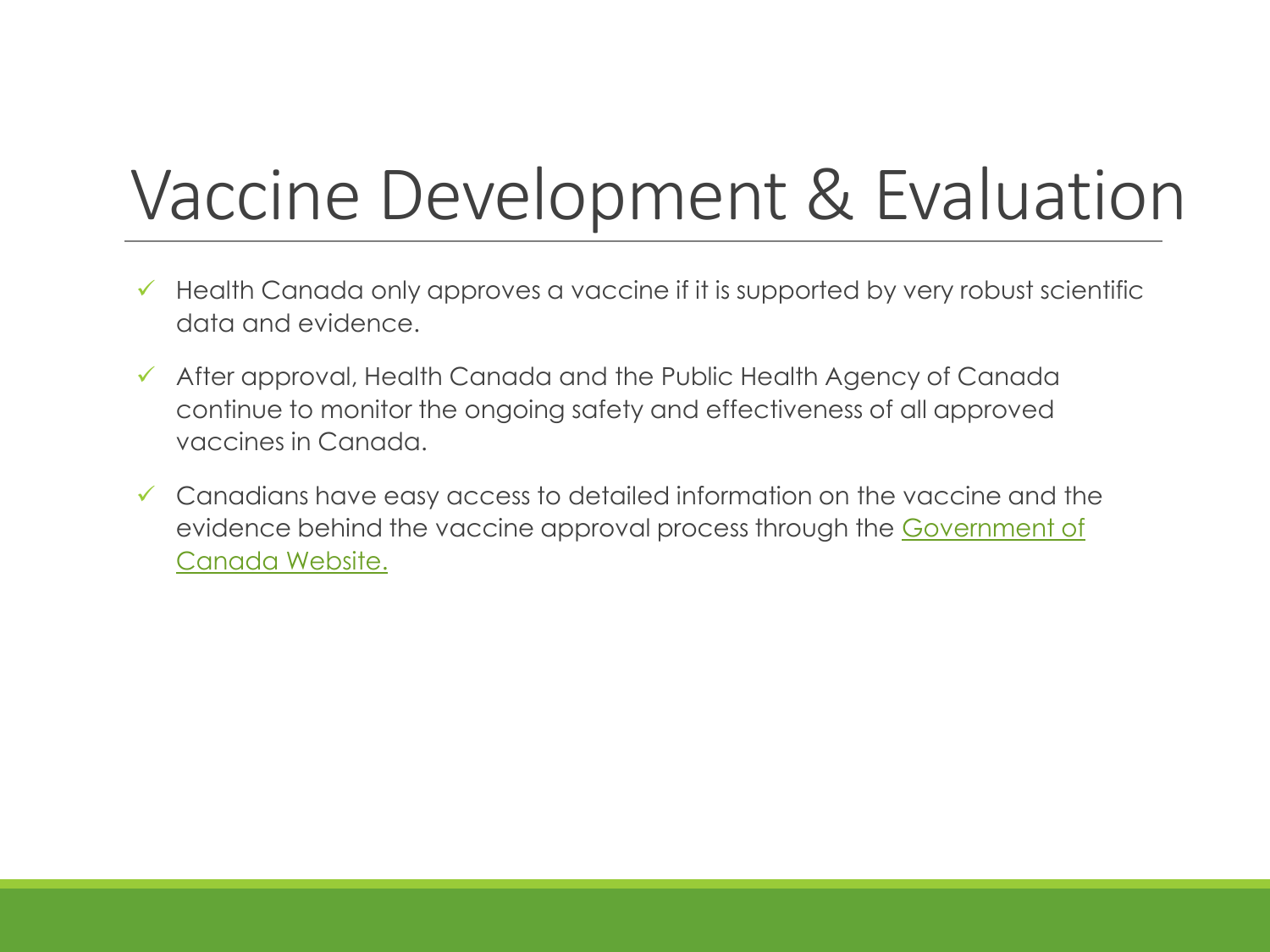### Vaccine Development & Evaluation

- $\checkmark$  Health Canada only approves a vaccine if it is supported by very robust scientific data and evidence.
- ✓ After approval, Health Canada and the Public Health Agency of Canada continue to monitor the ongoing safety and effectiveness of all approved vaccines in Canada.
- $\checkmark$  Canadians have easy access to detailed information on the vaccine and the [evidence behind the vaccine approval process through the Government of](https://www.canada.ca/en/health-canada/services/drugs-health-products/covid19-industry/drugs-vaccines-treatments/vaccines.html) Canada Website.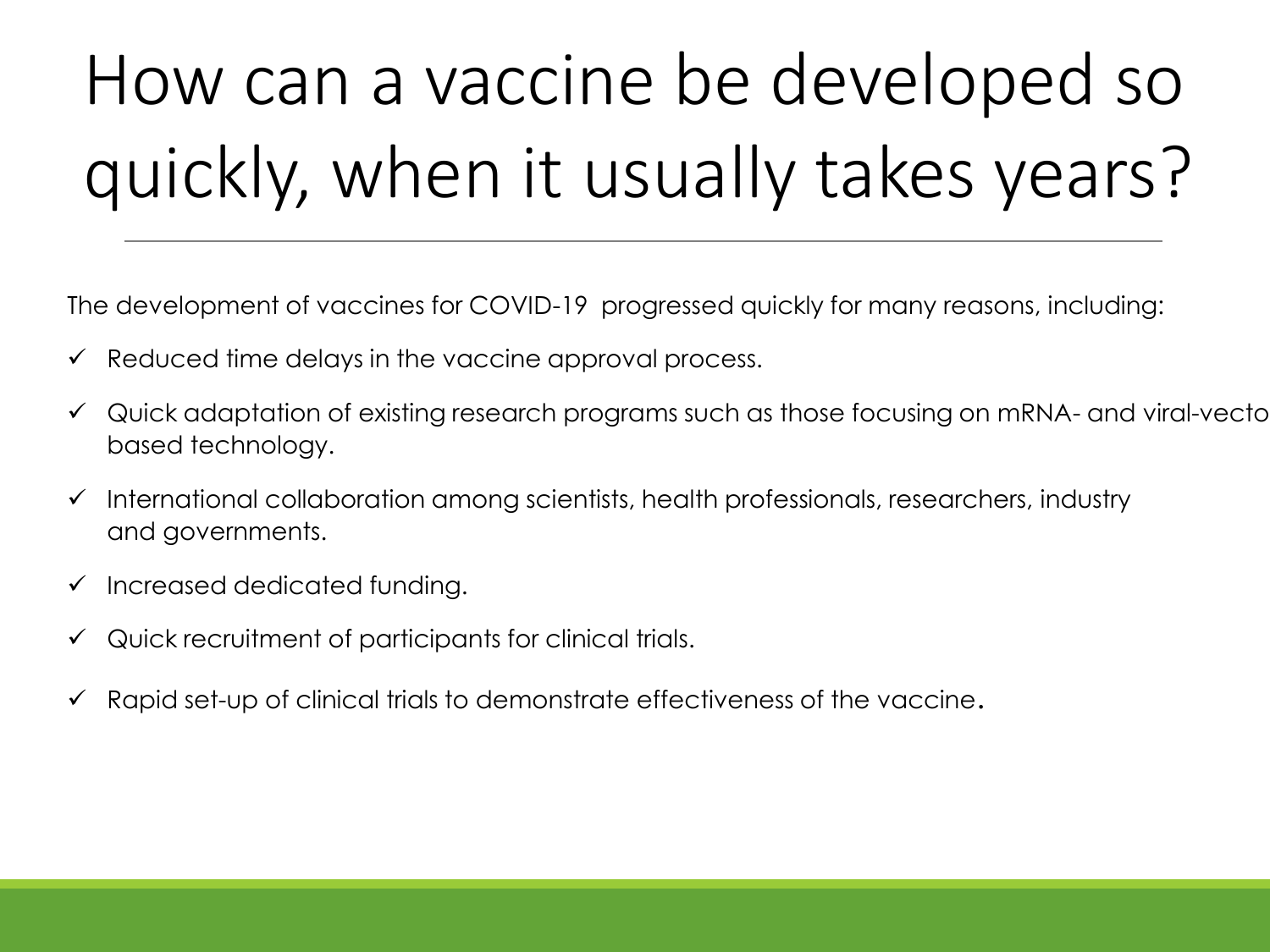# How can a vaccine be developed so quickly, when it usually takes years?

The development of vaccines for COVID-19 progressed quickly for many reasons, including:

- $\checkmark$  Reduced time delays in the vaccine approval process.
- $\checkmark$  Quick adaptation of existing research programs such as those focusing on mRNA- and viral-vecto based technology.
- ✓ International collaboration among scientists, health professionals, researchers, industry and governments.
- ✓ Increased dedicated funding.
- $\checkmark$  Quick recruitment of participants for clinical trials.
- Rapid set-up of clinical trials to demonstrate effectiveness of the vaccine.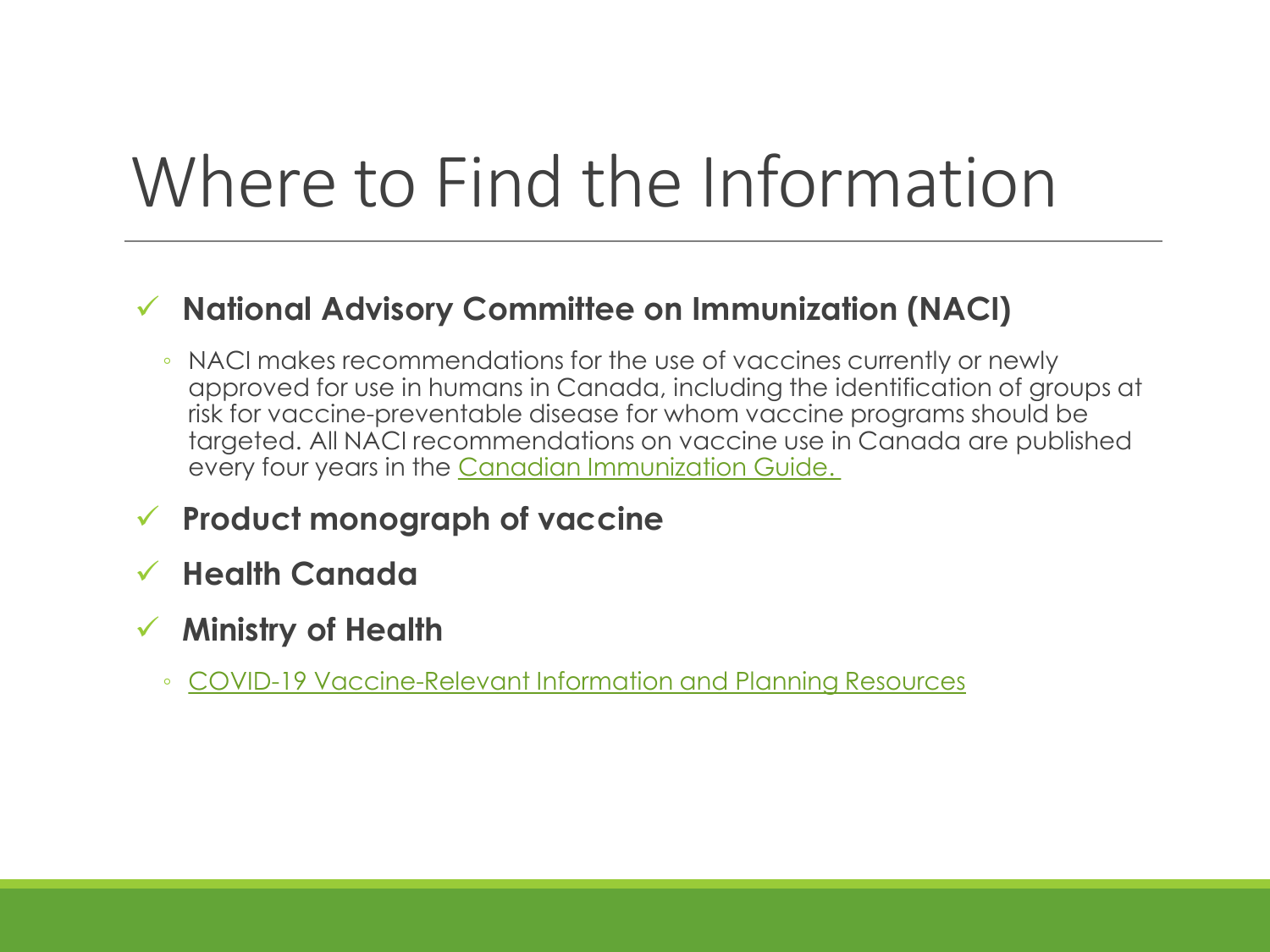### Where to Find the Information

#### ✓ **National Advisory Committee on Immunization (NACI)**

- NACI makes recommendations for the use of vaccines currently or newly approved for use in humans in Canada, including the identification of groups at risk for vaccine-preventable disease for whom vaccine programs should be targeted. All NACI recommendations on vaccine use in Canada are published every four years in the [Canadian Immunization Guide.](https://www.canada.ca/en/public-health/services/publications/healthy-living/canadian-immunization-guide-part-4-active-vaccines/page-26-covid-19-vaccine.html)
- ✓ **Product monograph of vaccine**
- ✓ **Health Canada**
- ✓ **Ministry of Health**
	- [COVID-19 Vaccine-Relevant Information and Planning Resources](https://www.health.gov.on.ca/en/pro/programs/publichealth/coronavirus/covid19_vaccine.aspx)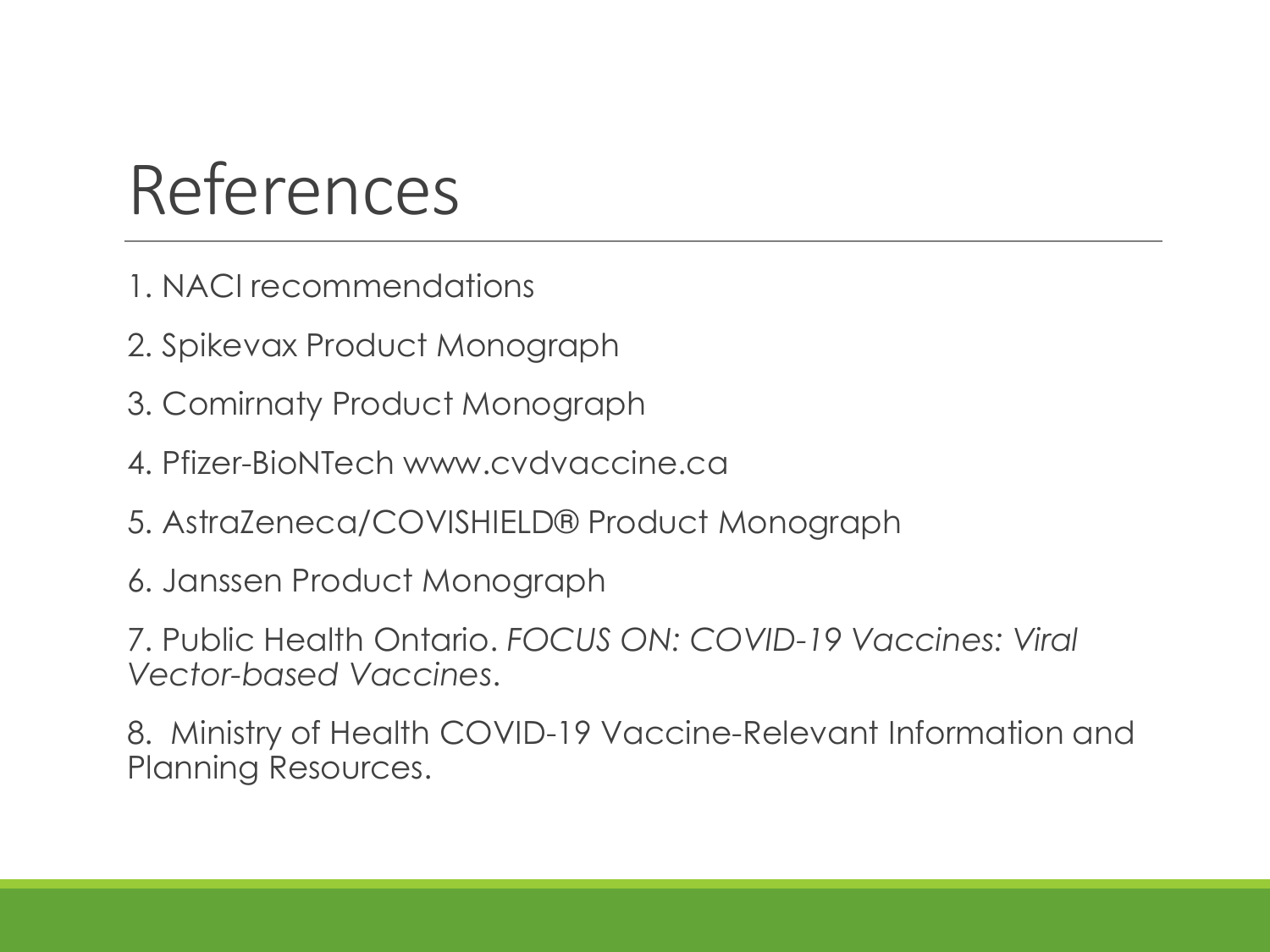### References

- 1. NACI recommendations
- 2. Spikevax Product Monograph
- 3. Comirnaty Product Monograph
- 4. Pfizer-BioNTech www.cvdvaccine.ca
- 5. AstraZeneca/COVISHIELD® Product Monograph
- 6. Janssen Product Monograph

7. Public Health Ontario. *FOCUS ON: COVID-19 Vaccines: Viral Vector-based Vaccines*.

8. Ministry of Health COVID-19 Vaccine-Relevant Information and Planning Resources.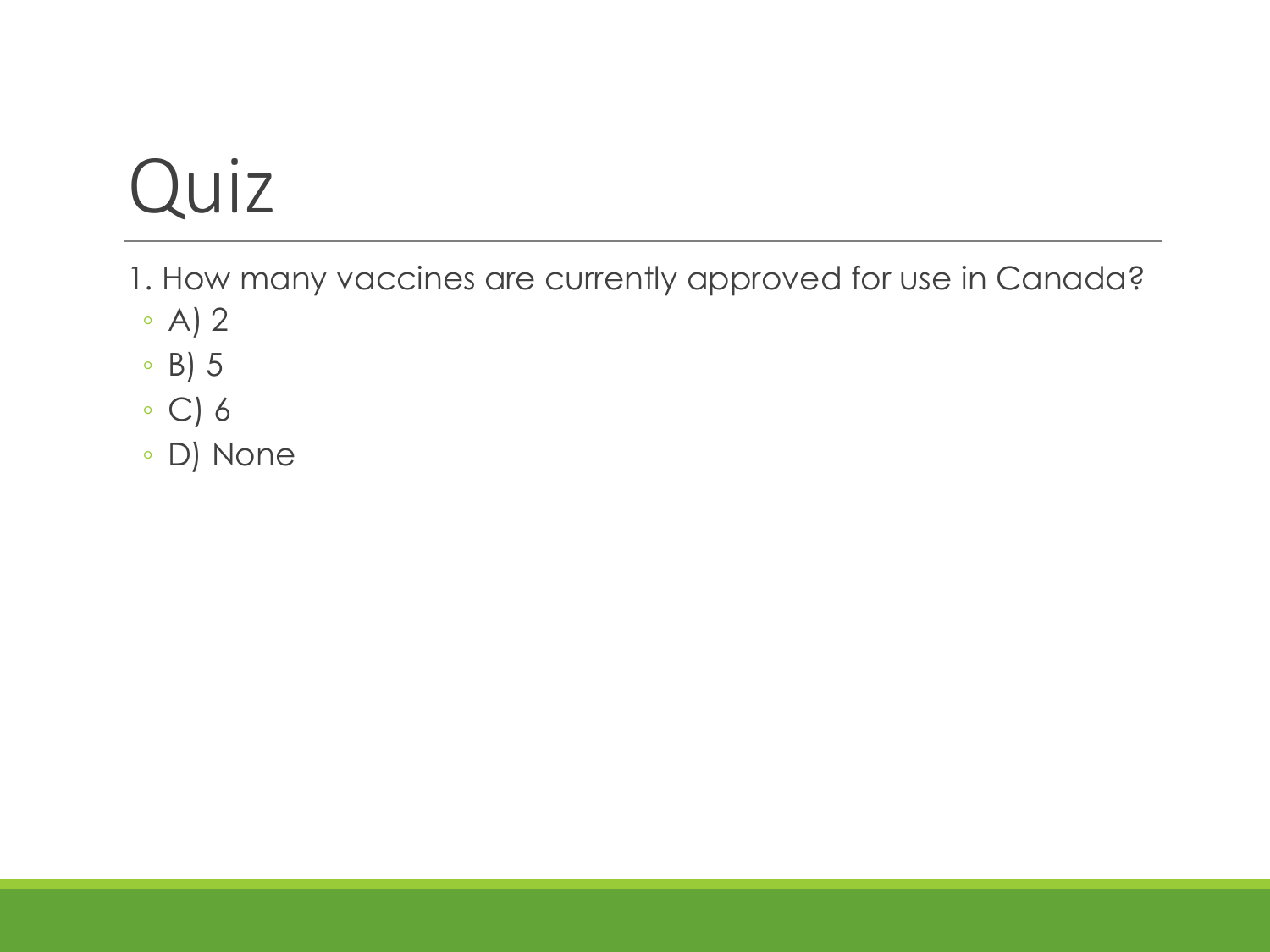1. How many vaccines are currently approved for use in Canada?

- A) 2
- B) 5
- C) 6
- D) None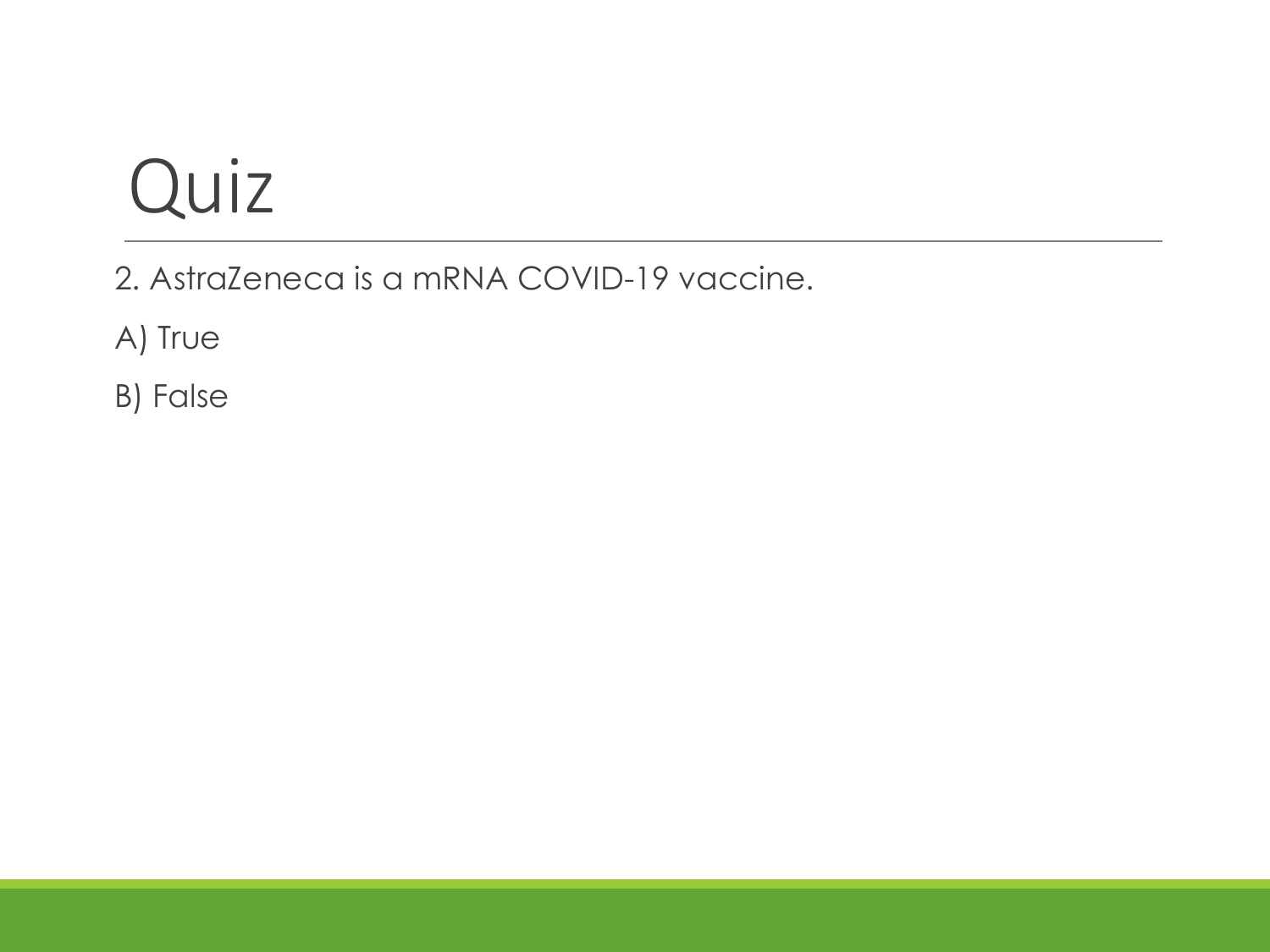2. AstraZeneca is a mRNA COVID-19 vaccine.

A) True

B) False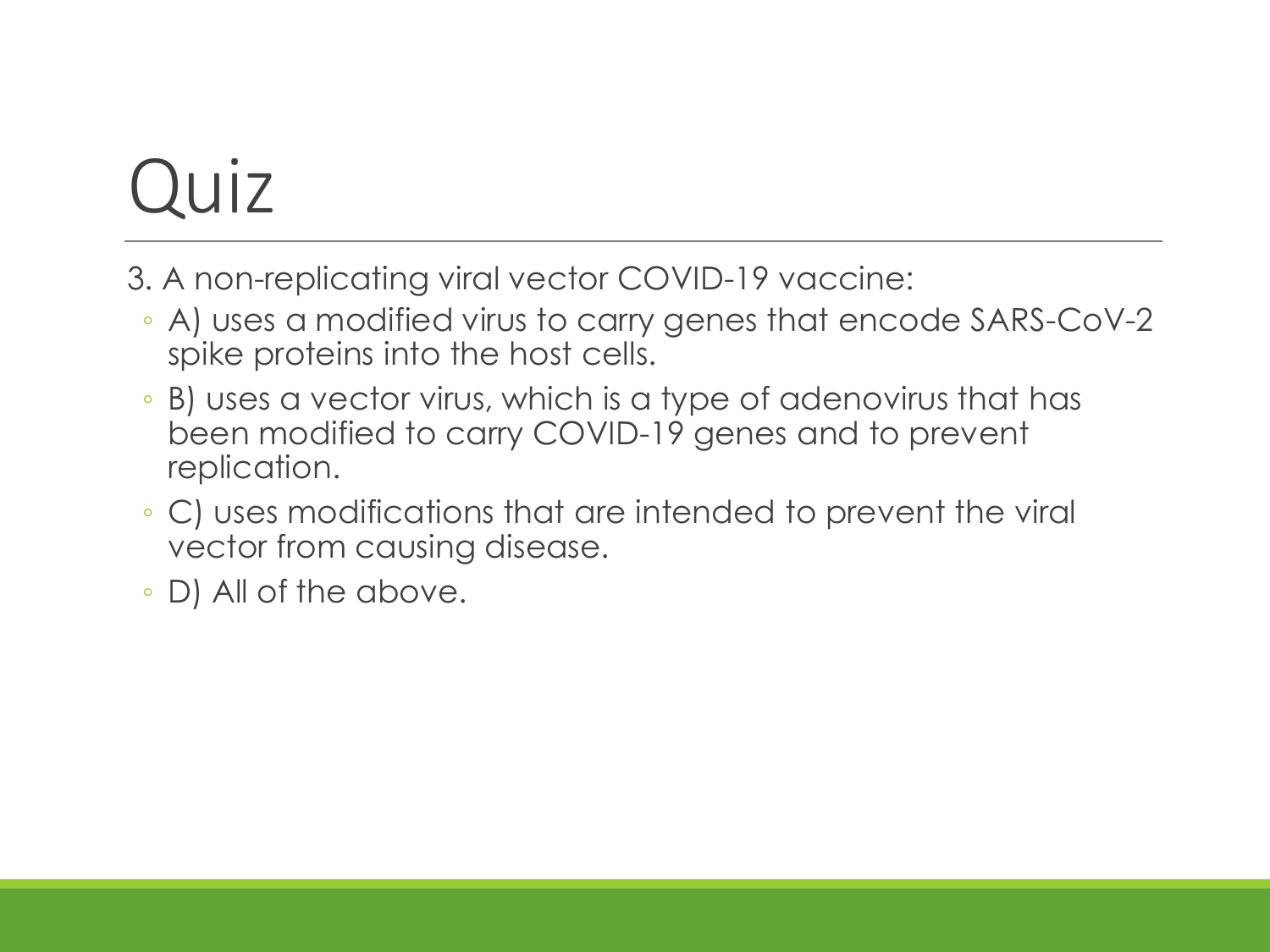- 3. A non-replicating viral vector COVID-19 vaccine:
	- A) uses a modified virus to carry genes that encode SARS-CoV-2 spike proteins into the host cells.
	- B) uses a vector virus, which is a type of adenovirus that has been modified to carry COVID-19 genes and to prevent replication.
	- C) uses modifications that are intended to prevent the viral vector from causing disease.
	- D) All of the above.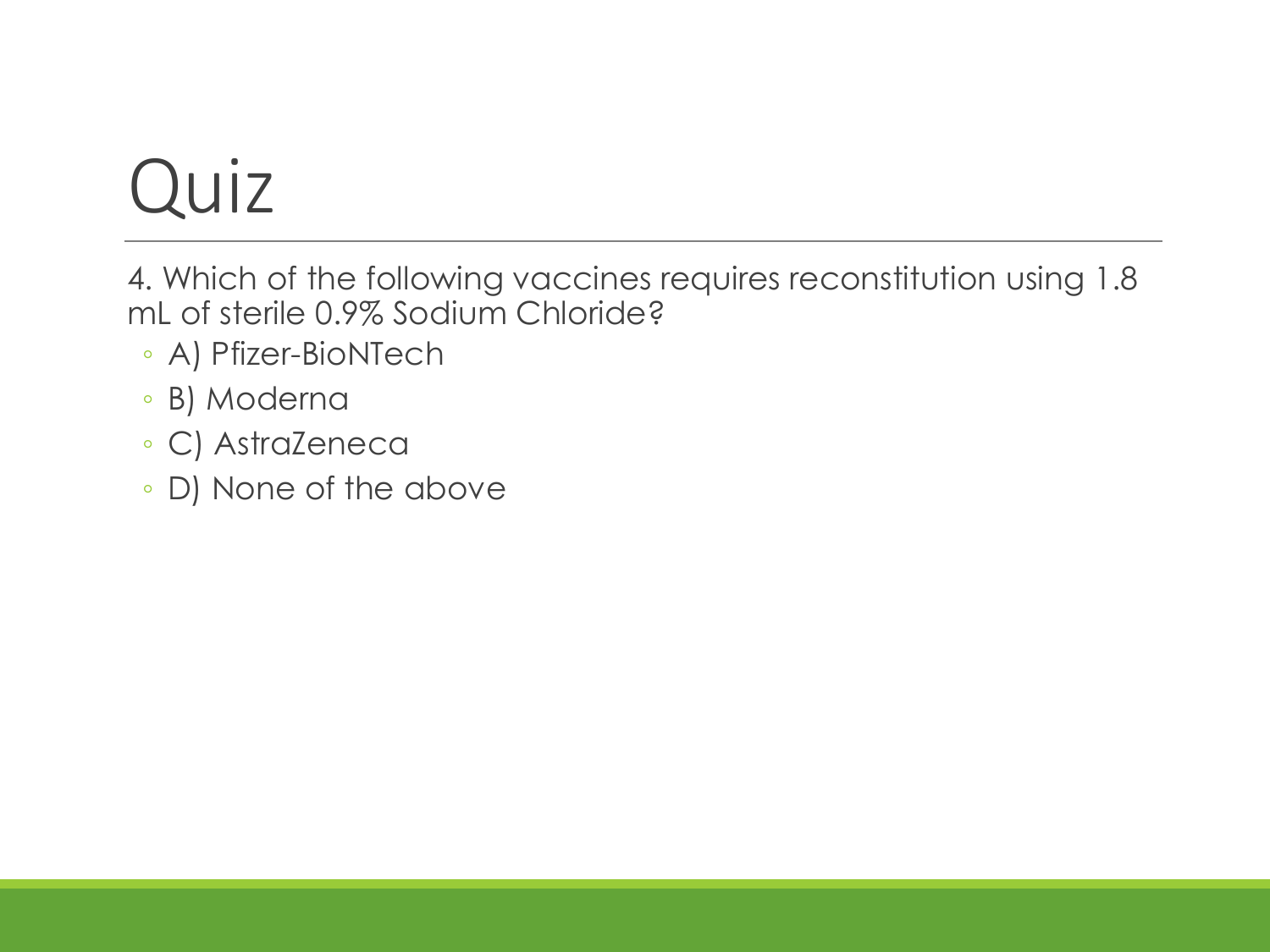4. Which of the following vaccines requires reconstitution using 1.8 mL of sterile 0.9% Sodium Chloride?

- A) Pfizer-BioNTech
- B) Moderna
- C) AstraZeneca
- D) None of the above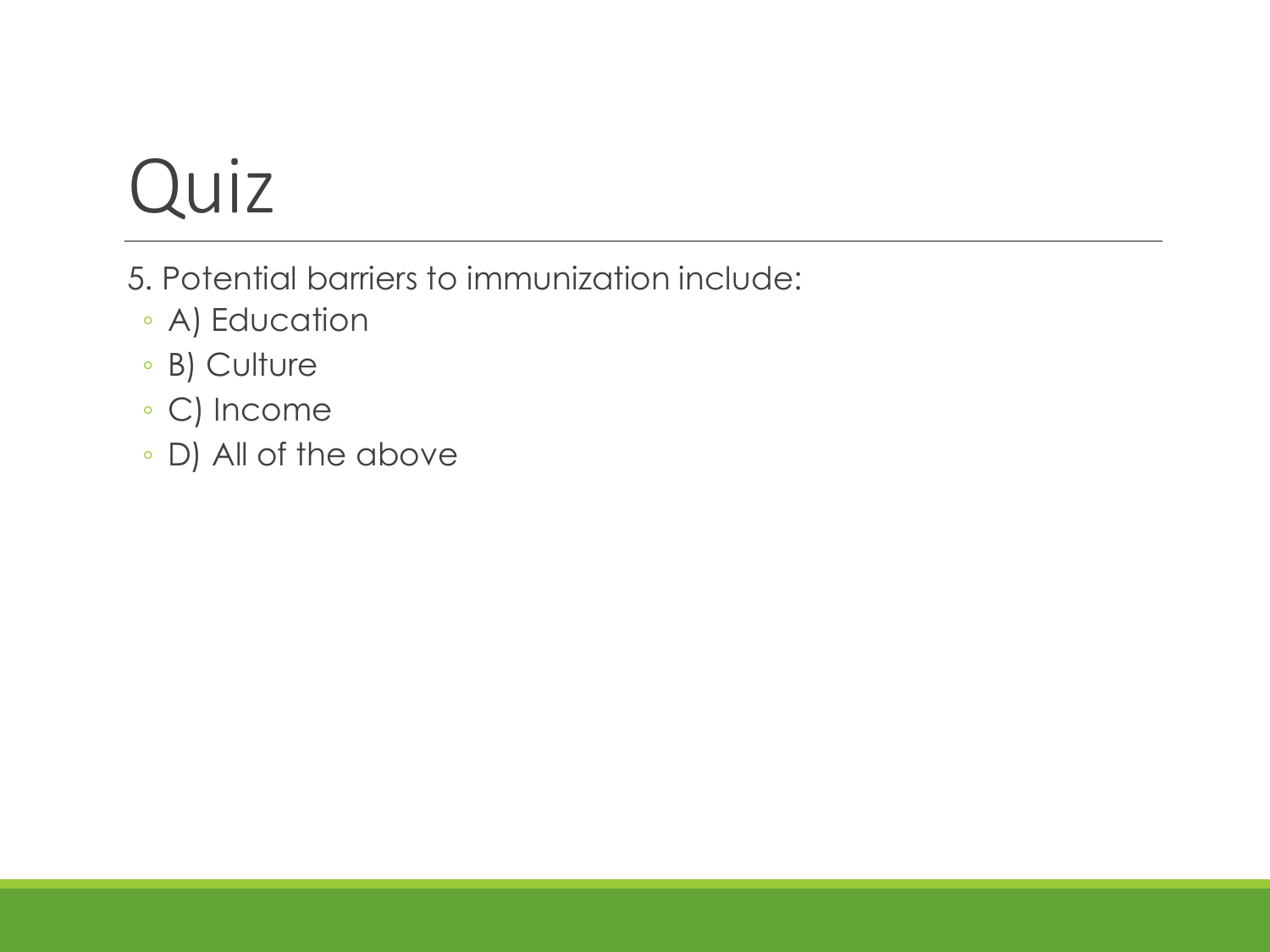- 5. Potential barriers to immunization include:
	- A) Education
	- B) Culture
	- C) Income
	- D) All of the above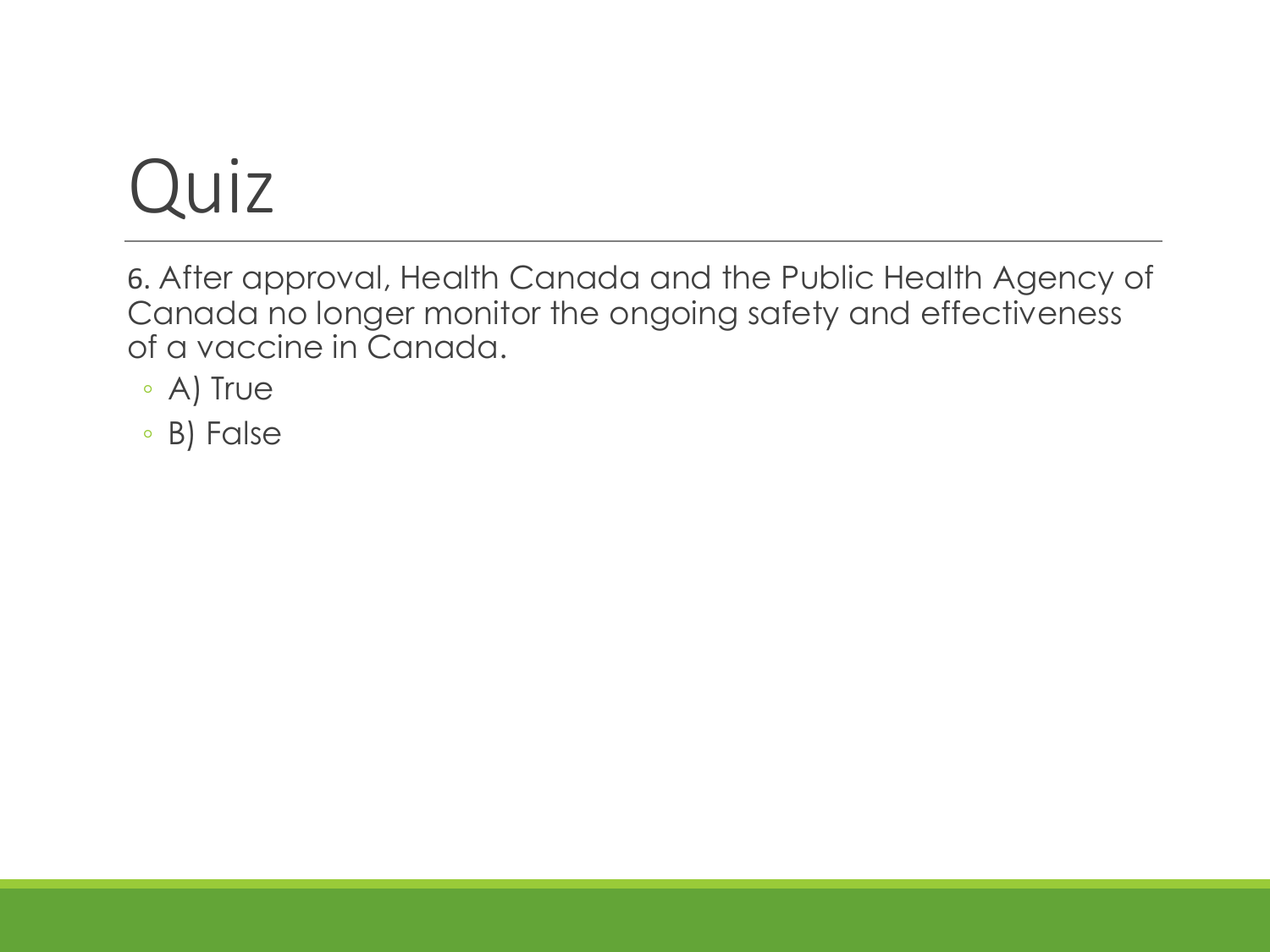6. After approval, Health Canada and the Public Health Agency of Canada no longer monitor the ongoing safety and effectiveness of a vaccine in Canada.

- A) True
- B) False